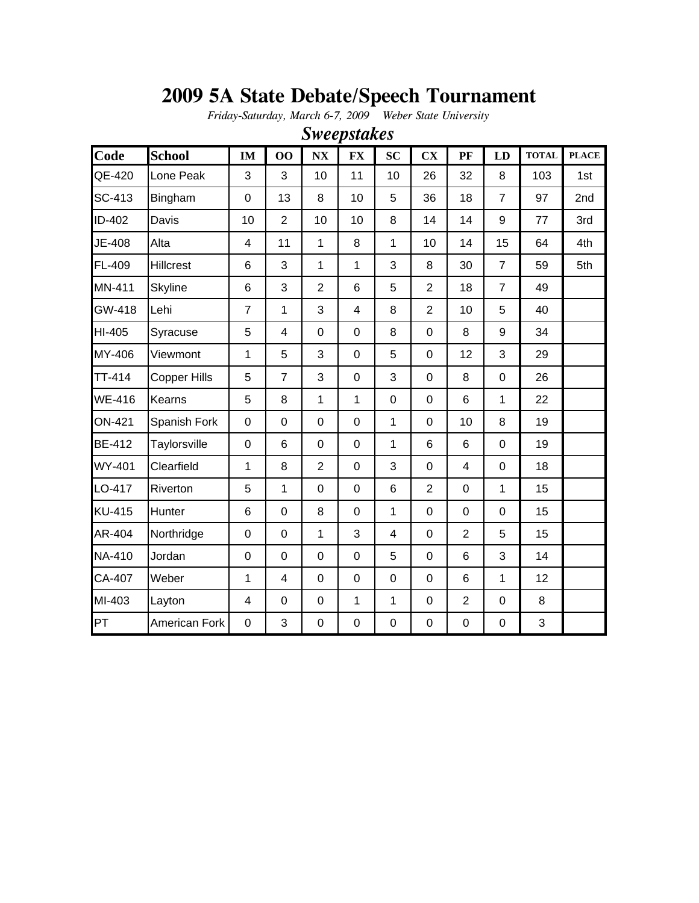# **2009 5A State Debate/Speech Tournament**

*Friday-Saturday, March 6-7, 2009 Weber State University*

| <b>Code</b>   | <b>School</b>  | IM               | 00               | N X            | <b>FX</b>               | SC                      | $\mathbf{C}\mathbf{X}$ | PF             | LD             | <b>TOTAL</b>   | <b>PLACE</b> |
|---------------|----------------|------------------|------------------|----------------|-------------------------|-------------------------|------------------------|----------------|----------------|----------------|--------------|
| QE-420        | Lone Peak      | 3                | 3                | 10             | 11                      | 10                      | 26                     | 32             | 8              | 103            | 1st          |
| SC-413        | Bingham        | $\mathbf 0$      | 13               | 8              | 10                      | 5                       | 36                     | 18             | $\overline{7}$ | 97             | 2nd          |
| ID-402        | Davis          | 10               | $\overline{2}$   | 10             | 10                      | 8                       | 14                     | 14             | 9              | 77             | 3rd          |
| JE-408        | Alta           | 4                | 11               | $\mathbf{1}$   | 8                       | 1                       | 10                     | 14             | 15             | 64             | 4th          |
| FL-409        | Hillcrest      | $6\phantom{1}6$  | 3                | $\mathbf{1}$   | $\mathbf{1}$            | 3                       | 8                      | 30             | $\overline{7}$ | 59             | 5th          |
| MN-411        | <b>Skyline</b> | $\,6$            | 3                | $\overline{2}$ | 6                       | 5                       | $\overline{2}$         | 18             | $\overline{7}$ | 49             |              |
| GW-418        | Lehi           | $\overline{7}$   | $\mathbf{1}$     | 3              | $\overline{\mathbf{4}}$ | 8                       | $\overline{2}$         | 10             | 5              | 40             |              |
| HI-405        | Syracuse       | 5                | 4                | 0              | 0                       | 8                       | $\mathbf 0$            | 8              | 9              | 34             |              |
| MY-406        | Viewmont       | 1                | 5                | 3              | 0                       | 5                       | $\pmb{0}$              | 12             | 3              | 29             |              |
| TT-414        | Copper Hills   | 5                | $\overline{7}$   | 3              | 0                       | 3                       | $\mathbf 0$            | 8              | $\mathbf 0$    | 26             |              |
| <b>WE-416</b> | Kearns         | 5                | 8                | $\mathbf{1}$   | 1                       | $\mathbf 0$             | $\mathbf 0$            | 6              | 1              | 22             |              |
| <b>ON-421</b> | Spanish Fork   | $\overline{0}$   | $\mathbf 0$      | $\mathbf 0$    | $\mathbf 0$             | $\mathbf{1}$            | $\mathbf 0$            | 10             | 8              | 19             |              |
| <b>BE-412</b> | Taylorsville   | $\mathbf 0$      | $6\phantom{1}$   | 0              | 0                       | $\mathbf{1}$            | 6                      | 6              | $\mathbf 0$    | 19             |              |
| WY-401        | Clearfield     | 1                | 8                | $\overline{2}$ | $\mathbf 0$             | 3                       | $\mathbf 0$            | 4              | $\mathbf 0$    | 18             |              |
| LO-417        | Riverton       | 5                | $\mathbf{1}$     | 0              | 0                       | $6\phantom{1}$          | $\overline{2}$         | $\mathbf 0$    | $\mathbf{1}$   | 15             |              |
| <b>KU-415</b> | Hunter         | $\,6$            | $\mathbf 0$      | 8              | 0                       | $\mathbf{1}$            | $\pmb{0}$              | $\pmb{0}$      | $\mathbf 0$    | 15             |              |
| AR-404        | Northridge     | $\pmb{0}$        | $\boldsymbol{0}$ | $\mathbf{1}$   | 3                       | $\overline{\mathbf{4}}$ | $\mathbf 0$            | $\overline{2}$ | 5              | 15             |              |
| <b>NA-410</b> | Jordan         | $\boldsymbol{0}$ | 0                | 0              | 0                       | 5                       | $\mathbf 0$            | 6              | 3              | 14             |              |
| CA-407        | Weber          | 1                | 4                | 0              | 0                       | $\mathbf 0$             | $\pmb{0}$              | 6              | $\mathbf{1}$   | 12             |              |
| MI-403        | Layton         | 4                | $\mathbf 0$      | $\mathbf 0$    | $\mathbf{1}$            | $\mathbf{1}$            | $\mathbf 0$            | $\overline{2}$ | $\pmb{0}$      | 8              |              |
| PT            | American Fork  | $\boldsymbol{0}$ | 3                | $\mathbf 0$    | 0                       | $\mathbf 0$             | 0                      | 0              | $\pmb{0}$      | $\mathfrak{S}$ |              |

*Sweepstakes*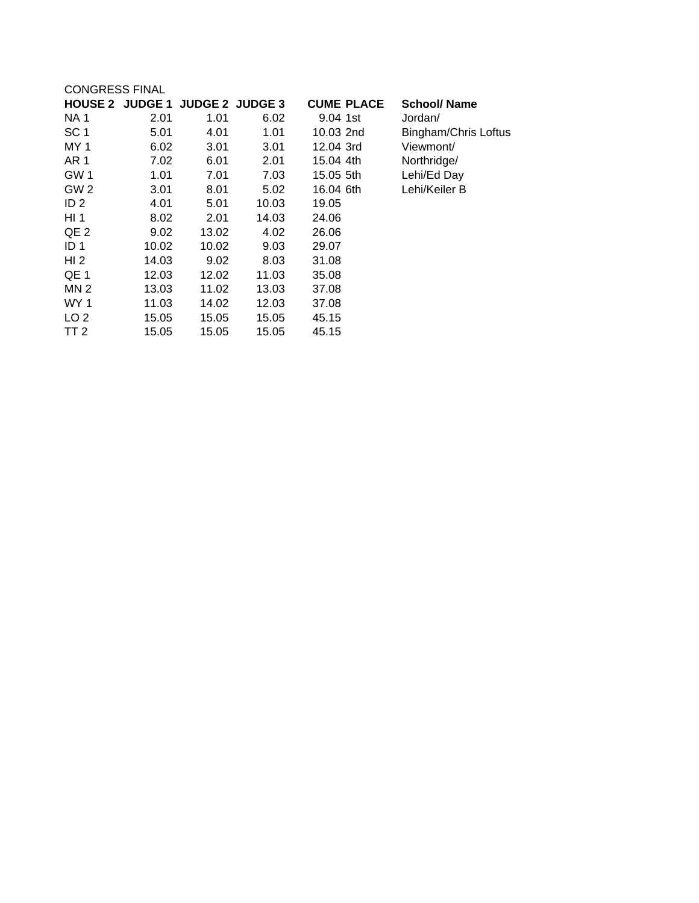| <b>CONGRESS FINAL</b> |       |       |                                 |                   |                      |
|-----------------------|-------|-------|---------------------------------|-------------------|----------------------|
|                       |       |       | HOUSE 2 JUDGE 1 JUDGE 2 JUDGE 3 | <b>CUME PLACE</b> | <b>School/ Name</b>  |
| <b>NA1</b>            | 2.01  | 1.01  | 6.02                            | 9.04 1st          | Jordan/              |
| SC <sub>1</sub>       | 5.01  | 4.01  | 1.01                            | 10.03 2nd         | Bingham/Chris Loftus |
| MY <sub>1</sub>       | 6.02  | 3.01  | 3.01                            | 12.04 3rd         | Viewmont/            |
| AR <sub>1</sub>       | 7.02  | 6.01  | 2.01                            | 15.04 4th         | Northridge/          |
| GW <sub>1</sub>       | 1.01  | 7.01  | 7.03                            | 15.05 5th         | Lehi/Ed Day          |
| GW <sub>2</sub>       | 3.01  | 8.01  | 5.02                            | 16.04 6th         | Lehi/Keiler B        |
| ID <sub>2</sub>       | 4.01  | 5.01  | 10.03                           | 19.05             |                      |
| HI <sub>1</sub>       | 8.02  | 2.01  | 14.03                           | 24.06             |                      |
| QE <sub>2</sub>       | 9.02  | 13.02 | 4.02                            | 26.06             |                      |
| ID <sub>1</sub>       | 10.02 | 10.02 | 9.03                            | 29.07             |                      |
| HI <sub>2</sub>       | 14.03 | 9.02  | 8.03                            | 31.08             |                      |
| QE <sub>1</sub>       | 12.03 | 12.02 | 11.03                           | 35.08             |                      |
| MN <sub>2</sub>       | 13.03 | 11.02 | 13.03                           | 37.08             |                      |
| WY 1                  | 11.03 | 14.02 | 12.03                           | 37.08             |                      |
| LO <sub>2</sub>       | 15.05 | 15.05 | 15.05                           | 45.15             |                      |
| TT 2                  | 15.05 | 15.05 | 15.05                           | 45.15             |                      |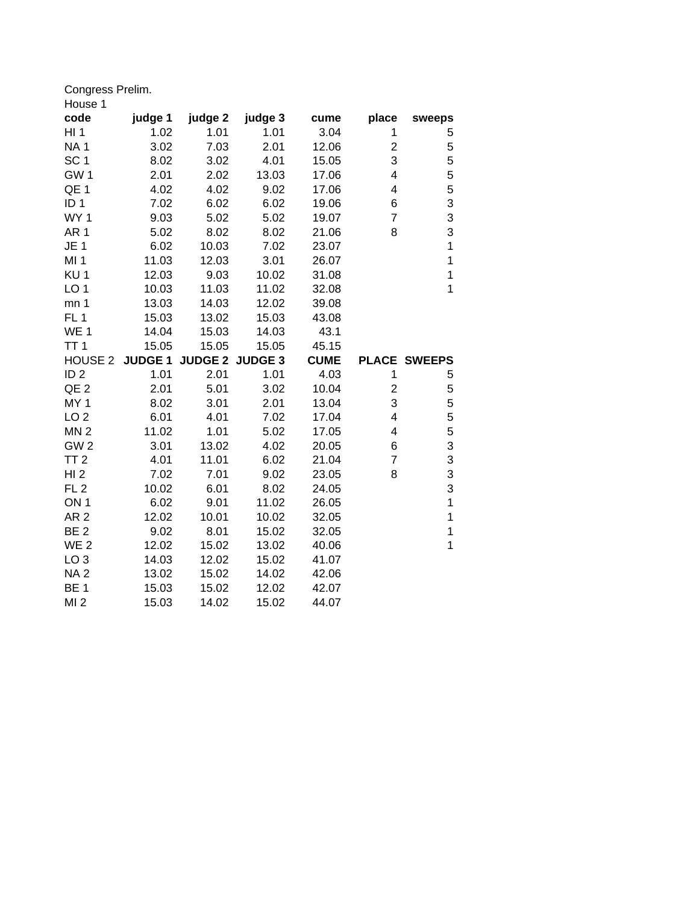Congress Prelim.

| House 1                            |                |                        |                |                |                |                     |
|------------------------------------|----------------|------------------------|----------------|----------------|----------------|---------------------|
| code                               | judge 1        | judge 2                | judge 3        | cume           | place          | sweeps              |
| H11                                | 1.02           | 1.01                   | 1.01           | 3.04           | 1              | 5                   |
| <b>NA1</b>                         | 3.02           | 7.03                   | 2.01           | 12.06          | $\overline{c}$ | 5                   |
| SC <sub>1</sub>                    | 8.02           | 3.02                   | 4.01           | 15.05          | 3              | 5                   |
| GW <sub>1</sub>                    | 2.01           | 2.02                   | 13.03          | 17.06          | 4              | 5                   |
| QE <sub>1</sub>                    | 4.02           | 4.02                   | 9.02           | 17.06          | 4              | 5                   |
| ID <sub>1</sub>                    | 7.02           | 6.02                   | 6.02           | 19.06          | 6              | 3                   |
| WY <sub>1</sub>                    | 9.03           | 5.02                   | 5.02           | 19.07          | $\overline{7}$ | 3                   |
| AR <sub>1</sub>                    | 5.02           | 8.02                   | 8.02           | 21.06          | 8              | 3                   |
| JE <sub>1</sub>                    | 6.02           | 10.03                  | 7.02           | 23.07          |                | $\mathbf 1$         |
| MI 1                               | 11.03          | 12.03                  | 3.01           | 26.07          |                | $\mathbf 1$         |
| KU <sub>1</sub>                    | 12.03          | 9.03                   | 10.02          | 31.08          |                | $\mathbf{1}$        |
| LO <sub>1</sub>                    | 10.03          | 11.03                  | 11.02          | 32.08          |                | 1                   |
| mn <sub>1</sub>                    | 13.03          | 14.03                  | 12.02          | 39.08          |                |                     |
| FL <sub>1</sub>                    | 15.03          | 13.02                  | 15.03          | 43.08          |                |                     |
| WE <sub>1</sub>                    | 14.04          | 15.03                  | 14.03          | 43.1           |                |                     |
| TT <sub>1</sub>                    | 15.05          | 15.05                  | 15.05          | 45.15          |                |                     |
|                                    |                |                        |                |                |                |                     |
| HOUSE <sub>2</sub>                 | <b>JUDGE 1</b> | <b>JUDGE 2 JUDGE 3</b> |                | <b>CUME</b>    |                | <b>PLACE SWEEPS</b> |
| ID <sub>2</sub>                    | 1.01           | 2.01                   | 1.01           | 4.03           | 1              | 5                   |
| QE <sub>2</sub>                    | 2.01           | 5.01                   | 3.02           | 10.04          | $\overline{c}$ | 5                   |
| MY <sub>1</sub>                    | 8.02           | 3.01                   | 2.01           | 13.04          | 3              | 5                   |
| LO <sub>2</sub>                    | 6.01           | 4.01                   | 7.02           | 17.04          | 4              | 5                   |
| MN <sub>2</sub>                    | 11.02          | 1.01                   | 5.02           | 17.05          | 4              | 5                   |
| GW <sub>2</sub>                    | 3.01           | 13.02                  | 4.02           | 20.05          | 6              | 3                   |
| TT <sub>2</sub>                    | 4.01           | 11.01                  | 6.02           | 21.04          | $\overline{7}$ | 3                   |
| HI2                                | 7.02           | 7.01                   | 9.02           | 23.05          | 8              | 3                   |
| FL <sub>2</sub>                    | 10.02          | 6.01                   | 8.02           | 24.05          |                | 3                   |
| ON <sub>1</sub>                    | 6.02           | 9.01                   | 11.02          | 26.05          |                | $\mathbf 1$         |
| AR <sub>2</sub>                    | 12.02          | 10.01                  | 10.02          | 32.05          |                | $\mathbf 1$         |
| BE <sub>2</sub>                    | 9.02           | 8.01                   | 15.02          | 32.05          |                | $\mathbf{1}$        |
| WE <sub>2</sub>                    | 12.02          | 15.02                  | 13.02          | 40.06          |                | $\mathbf 1$         |
| LO <sub>3</sub>                    | 14.03          | 12.02                  | 15.02          | 41.07          |                |                     |
| <b>NA2</b>                         | 13.02          | 15.02                  | 14.02          | 42.06          |                |                     |
| BE <sub>1</sub><br>MI <sub>2</sub> | 15.03<br>15.03 | 15.02<br>14.02         | 12.02<br>15.02 | 42.07<br>44.07 |                |                     |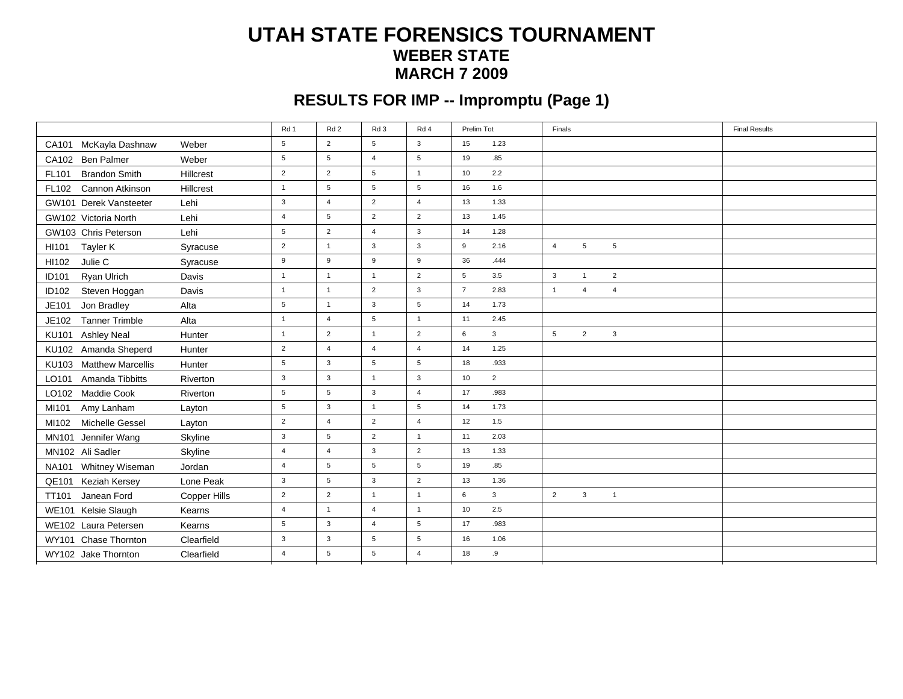#### **UTAH STATE FORENSICS TOURNAMENT WEBER STATEMARCH 7 2009**

# **RESULTS FOR IMP -- Impromptu (Page 1)**

|                                |              | Rd 1             | Rd <sub>2</sub>  | Rd 3             | Rd 4             | Prelim Tot              | Finals                                             | <b>Final Results</b> |
|--------------------------------|--------------|------------------|------------------|------------------|------------------|-------------------------|----------------------------------------------------|----------------------|
| CA101 McKayla Dashnaw          | Weber        | 5                | 2                | 5                | 3                | 1.23<br>15              |                                                    |                      |
| CA102 Ben Palmer               | Weber        | $5\phantom{.0}$  | $5\phantom{.0}$  | $\overline{4}$   | $5\phantom{.0}$  | .85<br>19               |                                                    |                      |
| <b>Brandon Smith</b><br>FL101  | Hillcrest    | $\overline{2}$   | $\overline{2}$   | 5                | $\overline{1}$   | 10<br>2.2               |                                                    |                      |
| FL102 Cannon Atkinson          | Hillcrest    | $\mathbf{1}$     | $\,$ 5 $\,$      | $5\phantom{.0}$  | $\,$ 5 $\,$      | 1.6<br>16               |                                                    |                      |
| GW101 Derek Vansteeter         | Lehi         | $\mathbf{3}$     | $\overline{4}$   | $\overline{2}$   | $\overline{4}$   | 1.33<br>13              |                                                    |                      |
| GW102 Victoria North           | Lehi         | $\overline{4}$   | 5                | $\overline{2}$   | $\overline{2}$   | 1.45<br>13              |                                                    |                      |
| GW103 Chris Peterson           | Lehi         | 5                | $\overline{2}$   | $\overline{4}$   | $\mathbf{3}$     | 14<br>1.28              |                                                    |                      |
| HI101<br>Tayler K              | Syracuse     | $\overline{2}$   | $\mathbf{1}$     | $\mathbf{3}$     | $\mathbf{3}$     | 9<br>2.16               | $5\phantom{.0}$<br>5<br>$\overline{4}$             |                      |
| Julie C<br>HI102               | Syracuse     | $\boldsymbol{9}$ | $\boldsymbol{9}$ | $\boldsymbol{9}$ | $\boldsymbol{9}$ | 36<br>.444              |                                                    |                      |
| Ryan Ulrich<br><b>ID101</b>    | Davis        | $\mathbf{1}$     | $\mathbf{1}$     | $\overline{1}$   | $\overline{2}$   | 3.5<br>5                | $\mathbf{3}$<br>$\overline{2}$<br>$\overline{1}$   |                      |
| ID102<br>Steven Hoggan         | Davis        | $\mathbf{1}$     | $\mathbf{1}$     | $\overline{2}$   | $\mathbf{3}$     | $\overline{7}$<br>2.83  | $\overline{4}$<br>$\overline{4}$<br>$\overline{1}$ |                      |
| Jon Bradley<br>JE101           | Alta         | $5\phantom{.0}$  | $\mathbf{1}$     | $\mathbf{3}$     | $\,$ 5 $\,$      | 14<br>1.73              |                                                    |                      |
| <b>Tanner Trimble</b><br>JE102 | Alta         | $\mathbf{1}$     | $\overline{4}$   | $5\phantom{.0}$  | $\mathbf{1}$     | 2.45<br>11              |                                                    |                      |
| KU101<br><b>Ashley Neal</b>    | Hunter       | $\mathbf{1}$     | 2                | $\overline{1}$   | 2                | $\mathbf{3}$<br>6       | 2<br>$5\overline{)}$<br>3                          |                      |
| KU102 Amanda Sheperd           | Hunter       | $\overline{2}$   | $\overline{4}$   | $\overline{4}$   | $\overline{4}$   | 1.25<br>14              |                                                    |                      |
| KU103 Matthew Marcellis        | Hunter       | $5\phantom{.0}$  | $\mathbf{3}$     | $5\phantom{.0}$  | $\,$ 5 $\,$      | .933<br>18              |                                                    |                      |
| LO101 Amanda Tibbitts          | Riverton     | 3                | $\mathbf{3}$     | $\mathbf{1}$     | $\mathbf{3}$     | 10<br>$\overline{2}$    |                                                    |                      |
| LO102 Maddie Cook              | Riverton     | $5\phantom{.0}$  | $5\phantom{.0}$  | $\mathbf{3}$     | $\overline{4}$   | .983<br>17              |                                                    |                      |
| MI101<br>Amy Lanham            | Layton       | $5\phantom{.0}$  | $\mathbf{3}$     | $\mathbf{1}$     | $5\phantom{.0}$  | 14<br>1.73              |                                                    |                      |
| Michelle Gessel<br>MI102       | Layton       | $\overline{2}$   | $\overline{4}$   | $\overline{2}$   | $\overline{4}$   | 12<br>1.5               |                                                    |                      |
| MN101 Jennifer Wang            | Skyline      | $\mathbf{3}$     | 5                | $\overline{2}$   | $\mathbf{1}$     | 2.03<br>11              |                                                    |                      |
| MN102 Ali Sadler               | Skyline      | $\overline{4}$   | $\overline{4}$   | $\mathbf{3}$     | $\overline{2}$   | 1.33<br>13              |                                                    |                      |
| NA101 Whitney Wiseman          | Jordan       | $\overline{4}$   | 5                | 5                | $5\phantom{.0}$  | .85<br>19               |                                                    |                      |
| QE101 Keziah Kersey            | Lone Peak    | 3                | 5                | 3                | 2                | 13<br>1.36              |                                                    |                      |
| <b>TT101</b><br>Janean Ford    | Copper Hills | $\overline{2}$   | $\overline{2}$   | $\overline{1}$   | $\mathbf{1}$     | $\,6\,$<br>$\mathbf{3}$ | $\overline{2}$<br>$\mathbf{3}$<br>$\mathbf{1}$     |                      |
| WE101 Kelsie Slaugh            | Kearns       | $\overline{4}$   | $\mathbf{1}$     | $\overline{4}$   | $\mathbf{1}$     | 2.5<br>10               |                                                    |                      |
| WE102 Laura Petersen           | Kearns       | $5\phantom{.0}$  | $\mathbf{3}$     | $\overline{4}$   | $5\phantom{.0}$  | .983<br>17              |                                                    |                      |
| WY101 Chase Thornton           | Clearfield   | $\mathbf{3}$     | $\mathbf{3}$     | $5\phantom{.0}$  | $5\phantom{.0}$  | 16<br>1.06              |                                                    |                      |
| WY102 Jake Thornton            | Clearfield   | $\overline{4}$   | 5                | 5                | $\overline{4}$   | .9<br>18                |                                                    |                      |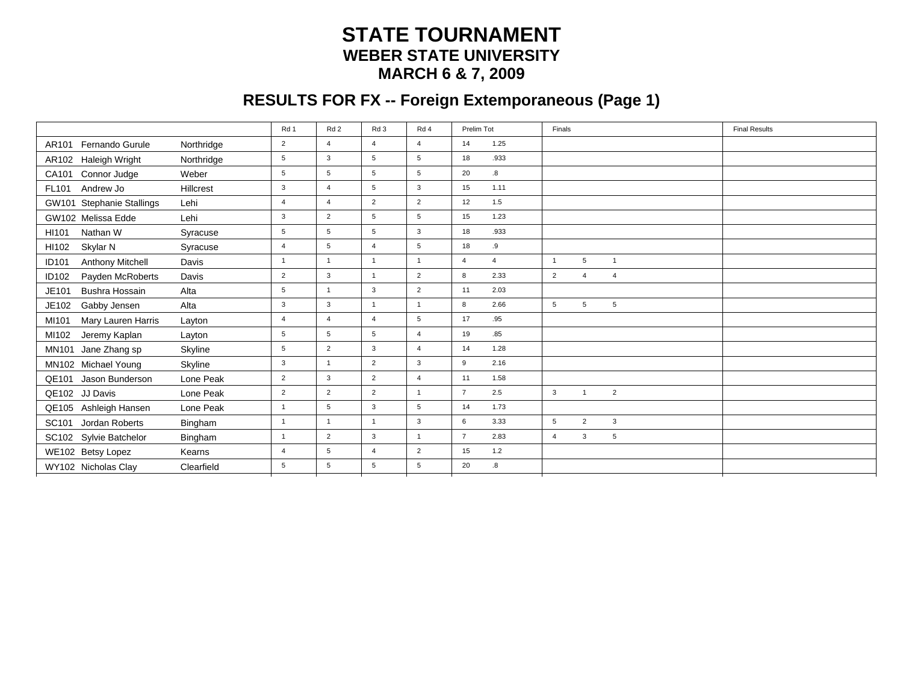### **STATE TOURNAMENT WEBER STATE UNIVERSITYMARCH 6 & 7, 2009**

# **RESULTS FOR FX -- Foreign Extemporaneous (Page 1)**

|                                  |            | Rd 1            | Rd <sub>2</sub> | Rd 3            | Rd 4            | Prelim Tot                       | Finals                                              | <b>Final Results</b> |
|----------------------------------|------------|-----------------|-----------------|-----------------|-----------------|----------------------------------|-----------------------------------------------------|----------------------|
| AR101 Fernando Gurule            | Northridge | $\overline{2}$  | $\overline{4}$  | $\overline{4}$  | $\overline{4}$  | 1.25<br>14                       |                                                     |                      |
| AR102 Haleigh Wright             | Northridge | 5               | $\mathbf{3}$    | 5               | $\sqrt{5}$      | .933<br>18                       |                                                     |                      |
| CA101 Connor Judge               | Weber      | $5\phantom{.0}$ | $5\phantom{.0}$ | $5\phantom{.0}$ | $5\phantom{.0}$ | 8.<br>20                         |                                                     |                      |
| Andrew Jo<br>FL101               | Hillcrest  | 3               | $\overline{4}$  | 5               | $\mathbf{3}$    | 1.11<br>15                       |                                                     |                      |
| GW101 Stephanie Stallings        | Lehi       | $\overline{4}$  | $\overline{4}$  | $\overline{2}$  | $\overline{2}$  | 1.5<br>12                        |                                                     |                      |
| GW102 Melissa Edde               | Lehi       | 3               | 2               | 5               | $5\overline{5}$ | 1.23<br>15                       |                                                     |                      |
| Nathan W<br>HI101                | Syracuse   | 5               | $5\phantom{.0}$ | 5               | $\mathbf{3}$    | .933<br>18                       |                                                     |                      |
| Skylar N<br>HI102                | Syracuse   | $\overline{4}$  | 5               | $\overline{4}$  | $5\phantom{.0}$ | 18<br>.9                         |                                                     |                      |
| Anthony Mitchell<br><b>ID101</b> | Davis      | $\mathbf{1}$    | $\mathbf{1}$    | $\overline{1}$  | $\overline{1}$  | $\overline{4}$<br>$\overline{4}$ | $5\overline{)}$<br>$\overline{1}$<br>$\overline{1}$ |                      |
| Payden McRoberts<br>ID102        | Davis      | $\overline{2}$  | 3               | $\overline{1}$  | $\overline{2}$  | 8<br>2.33                        | $\overline{2}$<br>$\overline{4}$<br>$\overline{4}$  |                      |
| Bushra Hossain<br>JE101          | Alta       | 5               | $\mathbf{1}$    | $\mathbf{3}$    | $\overline{2}$  | 2.03<br>11                       |                                                     |                      |
| JE102<br>Gabby Jensen            | Alta       | 3               | 3               | $\overline{1}$  | $\overline{1}$  | 8<br>2.66                        | 5<br>5<br>5                                         |                      |
| MI101<br>Mary Lauren Harris      | Layton     | $\overline{4}$  | $\overline{4}$  | $\overline{4}$  | $5\phantom{.0}$ | .95<br>17                        |                                                     |                      |
| MI102<br>Jeremy Kaplan           | Layton     | $\,$ 5 $\,$     | $\,$ 5 $\,$     | 5               | $\overline{4}$  | .85<br>19                        |                                                     |                      |
| MN101 Jane Zhang sp              | Skyline    | $\,$ 5 $\,$     | $\overline{2}$  | $\mathbf{3}$    | $\overline{4}$  | 1.28<br>14                       |                                                     |                      |
| MN102 Michael Young              | Skyline    | $\mathbf{3}$    | $\mathbf{1}$    | $\overline{2}$  | $\mathbf{3}$    | 9<br>2.16                        |                                                     |                      |
| QE101 Jason Bunderson            | Lone Peak  | $\overline{2}$  | $\mathbf{3}$    | $\overline{2}$  | $\overline{4}$  | 1.58<br>11                       |                                                     |                      |
| QE102 JJ Davis                   | Lone Peak  | $\overline{2}$  | $\overline{2}$  | $\overline{2}$  | $\mathbf{1}$    | $\overline{7}$<br>2.5            | $\mathbf{3}$<br>$\overline{2}$<br>$\overline{1}$    |                      |
| QE105 Ashleigh Hansen            | Lone Peak  | $\mathbf{1}$    | $5\phantom{.0}$ | $\mathbf{3}$    | $5\phantom{.0}$ | 1.73<br>14                       |                                                     |                      |
| SC101 Jordan Roberts             | Bingham    | $\mathbf{1}$    | $\overline{1}$  | $\mathbf{1}$    | $\mathbf{3}$    | 6<br>3.33                        | $\overline{2}$<br>$\mathbf{3}$<br>$5\overline{5}$   |                      |
| SC102 Sylvie Batchelor           | Bingham    | $\mathbf{1}$    | $\overline{2}$  | 3               | $\overline{1}$  | $\overline{7}$<br>2.83           | $\mathbf{3}$<br>5<br>$\overline{4}$                 |                      |
| WE102 Betsy Lopez                | Kearns     | $\overline{4}$  | 5               | $\overline{4}$  | 2               | 1.2<br>15                        |                                                     |                      |
| WY102 Nicholas Clay              | Clearfield | 5               | 5               | 5               | 5               | 20<br>.8                         |                                                     |                      |
|                                  |            |                 |                 |                 |                 |                                  |                                                     |                      |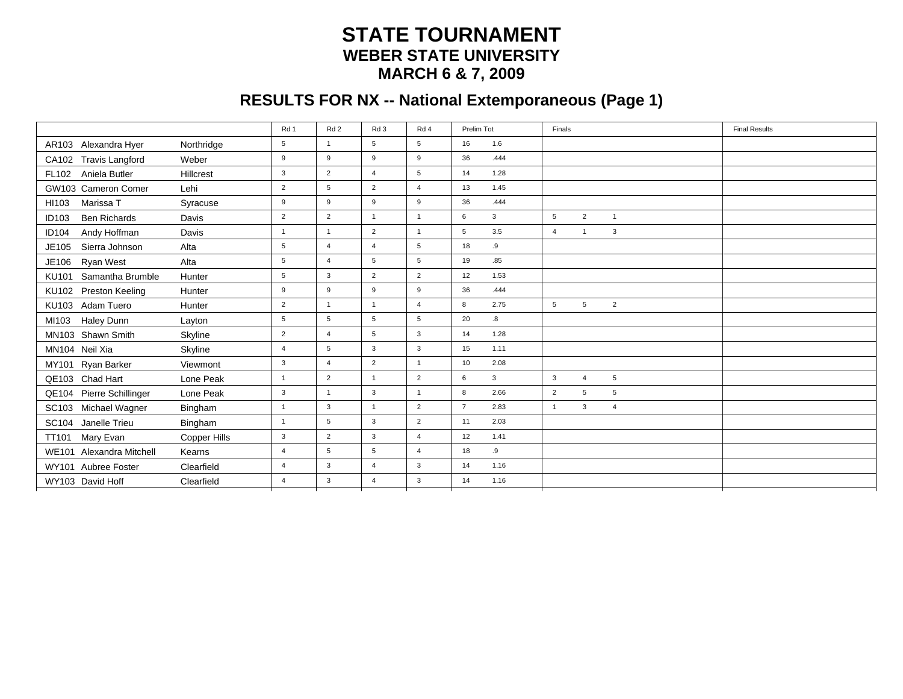#### **STATE TOURNAMENT WEBER STATE UNIVERSITYMARCH 6 & 7, 2009**

# **RESULTS FOR NX -- National Extemporaneous (Page 1)**

|                                     |              | Rd 1            | Rd <sub>2</sub> | Rd 3            | Rd 4            | Prelim Tot                      | Finals                                               | <b>Final Results</b> |
|-------------------------------------|--------------|-----------------|-----------------|-----------------|-----------------|---------------------------------|------------------------------------------------------|----------------------|
| AR103 Alexandra Hyer                | Northridge   | 5               | $\mathbf{1}$    | 5               | 5               | 1.6<br>16                       |                                                      |                      |
| CA102 Travis Langford               | Weber        | 9               | 9               | 9               | 9               | .444<br>36                      |                                                      |                      |
| Aniela Butler<br><b>FL102</b>       | Hillcrest    | 3               | $\overline{2}$  | $\overline{4}$  | $5\phantom{.0}$ | 1.28<br>14                      |                                                      |                      |
| GW103 Cameron Comer                 | Lehi         | $\overline{2}$  | $5\phantom{.0}$ | $\overline{2}$  | $\overline{4}$  | 1.45<br>13                      |                                                      |                      |
| Marissa T<br>HI103                  | Syracuse     | 9               | 9               | 9               | 9               | .444<br>36                      |                                                      |                      |
| <b>Ben Richards</b><br><b>ID103</b> | Davis        | $\overline{2}$  | $\overline{2}$  | $\overline{1}$  | $\overline{1}$  | 6<br>$\mathbf{3}$               | $\overline{2}$<br>$5\overline{5}$<br>$\overline{1}$  |                      |
| Andy Hoffman<br><b>ID104</b>        | Davis        | $\mathbf{1}$    | $\mathbf{1}$    | 2               | $\overline{1}$  | 3.5<br>5                        | 3<br>$\overline{4}$<br>$\mathbf{1}$                  |                      |
| Sierra Johnson<br>JE105             | Alta         | 5               | $\overline{4}$  | $\overline{4}$  | $5\phantom{.0}$ | .9<br>18                        |                                                      |                      |
| JE106<br><b>Ryan West</b>           | Alta         | $5\phantom{.0}$ | $\overline{4}$  | $5\phantom{.0}$ | $5\phantom{.0}$ | .85<br>19                       |                                                      |                      |
| Samantha Brumble<br>KU101           | Hunter       | 5               | $\mathbf{3}$    | $\overline{2}$  | $\overline{2}$  | 1.53<br>12                      |                                                      |                      |
| Preston Keeling<br>KU102            | Hunter       | 9               | 9               | 9               | 9               | .444<br>36                      |                                                      |                      |
| KU103 Adam Tuero                    | Hunter       | $\overline{2}$  | $\mathbf{1}$    | $\mathbf{1}$    | $\overline{4}$  | 8<br>2.75                       | $5\overline{5}$<br>$\overline{2}$<br>$5\overline{5}$ |                      |
| Haley Dunn<br>MI103                 | Layton       | 5               | 5               | 5               | $5\phantom{.0}$ | 20<br>8.                        |                                                      |                      |
| MN103 Shawn Smith                   | Skyline      | $\overline{2}$  | $\overline{4}$  | 5               | $\mathbf{3}$    | 1.28<br>14                      |                                                      |                      |
| MN104 Neil Xia                      | Skyline      | $\overline{4}$  | 5               | $\mathbf{3}$    | $\mathbf{3}$    | 1.11<br>15                      |                                                      |                      |
| MY101 Ryan Barker                   | Viewmont     | $\mathbf{3}$    | $\overline{4}$  | $\overline{2}$  | $\mathbf{1}$    | 2.08<br>10                      |                                                      |                      |
| QE103 Chad Hart                     | Lone Peak    | $\mathbf{1}$    | $\overline{2}$  | $\overline{1}$  | $\overline{2}$  | $6\phantom{.0}$<br>$\mathbf{3}$ | $\mathbf{3}$<br>$\overline{4}$<br>5                  |                      |
| QE104 Pierre Schillinger            | Lone Peak    | $\mathbf{3}$    | $\mathbf{1}$    | $\mathbf{3}$    | $\mathbf{1}$    | 8<br>2.66                       | $\overline{2}$<br>5<br>5                             |                      |
| SC103 Michael Wagner                | Bingham      | $\mathbf{1}$    | $\mathbf{3}$    | $\overline{1}$  | $\overline{2}$  | $\overline{7}$<br>2.83          | $\mathbf{3}$<br>$\mathbf{1}$<br>$\overline{4}$       |                      |
| SC104 Janelle Trieu                 | Bingham      | $\mathbf{1}$    | 5               | $\mathbf{3}$    | 2               | 2.03<br>11                      |                                                      |                      |
| Mary Evan<br><b>TT101</b>           | Copper Hills | $\mathbf{3}$    | $\overline{2}$  | 3               | $\overline{4}$  | 1.41<br>12                      |                                                      |                      |
| WE101 Alexandra Mitchell            | Kearns       | $\overline{4}$  | 5               | 5               | $\overline{4}$  | 18<br>.9                        |                                                      |                      |
| WY101 Aubree Foster                 | Clearfield   | $\overline{4}$  | 3               | $\overline{4}$  | $\mathbf{3}$    | 1.16<br>14                      |                                                      |                      |
| WY103 David Hoff                    | Clearfield   | $\overline{4}$  | 3               | $\overline{4}$  | 3               | 14<br>1.16                      |                                                      |                      |
|                                     |              |                 |                 |                 |                 |                                 |                                                      |                      |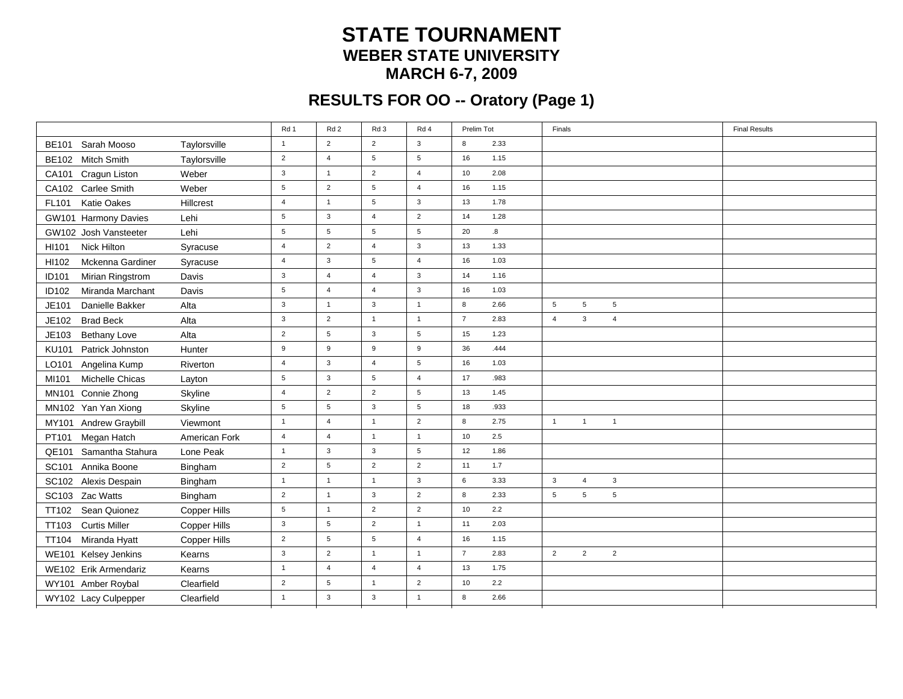### **STATE TOURNAMENT WEBER STATE UNIVERSITYMARCH 6-7, 2009**

# **RESULTS FOR OO -- Oratory (Page 1)**

|                                  |               | Rd 1             | Rd <sub>2</sub> | Rd 3           | Rd 4            | Prelim Tot             | Finals                                             | <b>Final Results</b> |
|----------------------------------|---------------|------------------|-----------------|----------------|-----------------|------------------------|----------------------------------------------------|----------------------|
| BE101 Sarah Mooso                | Taylorsville  | $\mathbf{1}$     | $\overline{2}$  | $\overline{2}$ | $\mathbf{3}$    | 2.33<br>8              |                                                    |                      |
| BE102 Mitch Smith                | Taylorsville  | $\overline{2}$   | $\overline{4}$  | 5              | $5\phantom{.0}$ | 16<br>1.15             |                                                    |                      |
| CA101 Cragun Liston              | Weber         | $\mathbf{3}$     | $\overline{1}$  | $\overline{2}$ | $\overline{4}$  | 10<br>2.08             |                                                    |                      |
| CA102 Carlee Smith               | Weber         | $5\phantom{.0}$  | 2               | 5              | $\overline{4}$  | 1.15<br>16             |                                                    |                      |
| FL101<br><b>Katie Oakes</b>      | Hillcrest     | $\overline{4}$   | $\overline{1}$  | 5              | $\mathbf{3}$    | 13<br>1.78             |                                                    |                      |
| GW101 Harmony Davies             | Lehi          | $5\phantom{.0}$  | $\mathbf{3}$    | $\overline{4}$ | $\overline{2}$  | 14<br>1.28             |                                                    |                      |
| GW102 Josh Vansteeter            | Lehi          | $5\phantom{.0}$  | $5\phantom{.0}$ | 5              | $5\phantom{.0}$ | 20<br>8.               |                                                    |                      |
| Nick Hilton<br>HI101             | Syracuse      | $\overline{4}$   | $\overline{2}$  | $\overline{4}$ | $\mathbf{3}$    | 13<br>1.33             |                                                    |                      |
| HI102<br>Mckenna Gardiner        | Syracuse      | $\overline{4}$   | $\mathbf{3}$    | 5              | $\overline{4}$  | 16<br>1.03             |                                                    |                      |
| Mirian Ringstrom<br><b>ID101</b> | Davis         | $\mathbf{3}$     | $\overline{4}$  | $\overline{4}$ | $\mathbf{3}$    | 14<br>1.16             |                                                    |                      |
| ID102<br>Miranda Marchant        | Davis         | $5\phantom{.0}$  | $\overline{4}$  | $\overline{4}$ | $\mathbf{3}$    | 16<br>1.03             |                                                    |                      |
| JE101<br>Danielle Bakker         | Alta          | $\mathbf{3}$     | $\overline{1}$  | $\mathbf{3}$   | $\overline{1}$  | 8<br>2.66              | $5\phantom{.0}$<br>$5\phantom{.0}$<br>5            |                      |
| JE102<br><b>Brad Beck</b>        | Alta          | $\mathbf{3}$     | $\overline{2}$  | $\overline{1}$ | $\overline{1}$  | $\overline{7}$<br>2.83 | $\mathbf{3}$<br>$\overline{4}$<br>$\overline{4}$   |                      |
| JE103<br><b>Bethany Love</b>     | Alta          | 2                | 5               | $\mathbf{3}$   | 5               | 15<br>1.23             |                                                    |                      |
| <b>KU101</b><br>Patrick Johnston | Hunter        | $\boldsymbol{9}$ | 9               | 9              | 9               | 36<br>.444             |                                                    |                      |
| LO101<br>Angelina Kump           | Riverton      | $\overline{4}$   | 3               | $\overline{4}$ | 5               | 16<br>1.03             |                                                    |                      |
| Michelle Chicas<br>MI101         | Layton        | $5\phantom{.0}$  | $\mathbf{3}$    | 5              | $\overline{4}$  | 17<br>.983             |                                                    |                      |
| MN101 Connie Zhong               | Skyline       | $\overline{4}$   | $\overline{2}$  | $\overline{2}$ | $5\phantom{.0}$ | 1.45<br>13             |                                                    |                      |
| MN102 Yan Yan Xiong              | Skyline       | 5                | 5               | $\mathbf{3}$   | 5               | 18<br>.933             |                                                    |                      |
| <b>Andrew Graybill</b><br>MY101  | Viewmont      | $\overline{1}$   | $\overline{4}$  | $\overline{1}$ | $\overline{2}$  | 8<br>2.75              | $\mathbf{1}$<br>$\overline{1}$<br>$\overline{1}$   |                      |
| PT101<br>Megan Hatch             | American Fork | $\overline{4}$   | $\overline{4}$  | $\overline{1}$ | $\overline{1}$  | 2.5<br>10              |                                                    |                      |
| Samantha Stahura<br>QE101        | Lone Peak     | $\mathbf{1}$     | $\mathbf{3}$    | $\mathbf{3}$   | $5\phantom{.0}$ | 12<br>1.86             |                                                    |                      |
| SC101 Annika Boone               | Bingham       | $\overline{2}$   | $5\phantom{.0}$ | $\overline{2}$ | $\overline{2}$  | 11<br>1.7              |                                                    |                      |
| SC102 Alexis Despain             | Bingham       | $\mathbf{1}$     | $\overline{1}$  | $\overline{1}$ | $\mathbf{3}$    | 6<br>3.33              | $\mathbf{3}$<br>$\overline{4}$<br>3                |                      |
| SC103 Zac Watts                  | Bingham       | $\overline{2}$   | $\overline{1}$  | $\mathbf{3}$   | $\overline{2}$  | 8<br>2.33              | $5\phantom{.0}$<br>5<br>$\,$ 5 $\,$                |                      |
| Sean Quionez<br><b>TT102</b>     | Copper Hills  | $5\phantom{.0}$  | $\overline{1}$  | $\overline{2}$ | $\overline{2}$  | 2.2<br>10              |                                                    |                      |
| TT103 Curtis Miller              | Copper Hills  | $\mathbf{3}$     | $5\phantom{.0}$ | $\overline{2}$ | $\overline{1}$  | 11<br>2.03             |                                                    |                      |
| Miranda Hyatt<br><b>TT104</b>    | Copper Hills  | $\overline{2}$   | $5\phantom{.0}$ | 5              | $\overline{4}$  | 16<br>1.15             |                                                    |                      |
| WE101 Kelsey Jenkins             | Kearns        | $\mathbf{3}$     | $\overline{2}$  | $\overline{1}$ | $\overline{1}$  | $\overline{7}$<br>2.83 | $\overline{2}$<br>$\overline{2}$<br>$\overline{2}$ |                      |
| WE102 Erik Armendariz            | Kearns        | $\mathbf{1}$     | $\overline{4}$  | $\overline{4}$ | $\overline{4}$  | 13<br>1.75             |                                                    |                      |
| WY101 Amber Roybal               | Clearfield    | $\overline{2}$   | $5\phantom{.0}$ | $\overline{1}$ | $\overline{2}$  | 10<br>2.2              |                                                    |                      |
| WY102 Lacy Culpepper             | Clearfield    | $\overline{1}$   | $\mathbf{3}$    | $\mathbf{3}$   | $\overline{1}$  | 8<br>2.66              |                                                    |                      |
|                                  |               |                  |                 |                |                 |                        |                                                    |                      |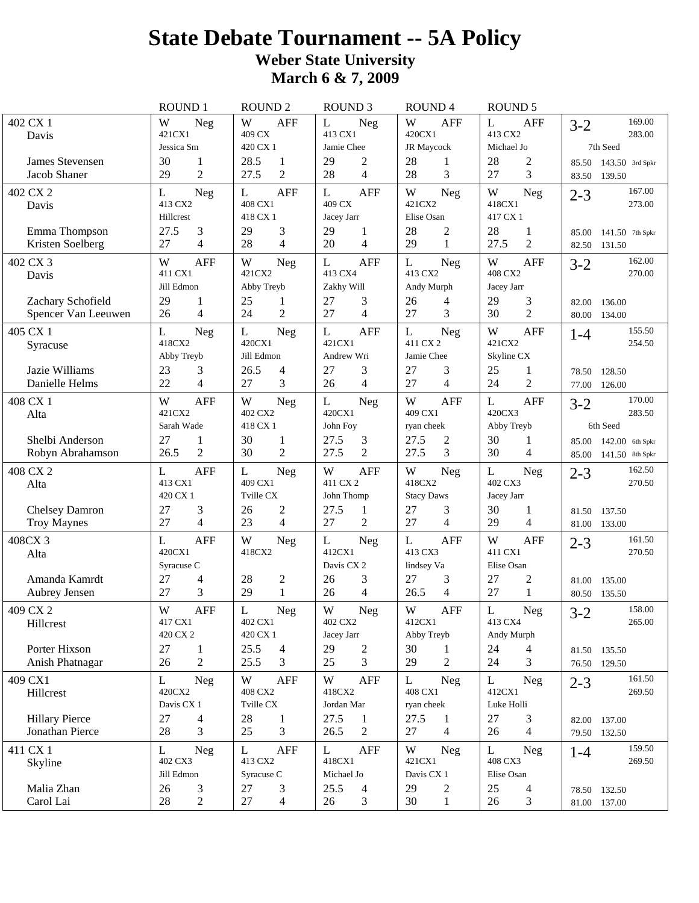# **State Debate Tournament -- 5A Policy Weber State University March 6 & 7, 2009**

|                                          | <b>ROUND1</b>                     | <b>ROUND 2</b>                  | <b>ROUND 3</b>                               | <b>ROUND4</b>                   | <b>ROUND 5</b>                    |                                                        |
|------------------------------------------|-----------------------------------|---------------------------------|----------------------------------------------|---------------------------------|-----------------------------------|--------------------------------------------------------|
| 402 CX 1<br>Davis                        | W<br><b>Neg</b><br>421CX1         | W<br><b>AFF</b><br>409 CX       | L<br><b>Neg</b><br>413 CX1                   | W<br><b>AFF</b><br>420CX1       | L<br><b>AFF</b><br>413 CX2        | 169.00<br>$3 - 2$<br>283.00                            |
|                                          | Jessica Sm                        | 420 CX 1                        | Jamie Chee                                   | JR Maycock                      | Michael Jo                        | 7th Seed                                               |
| James Stevensen<br>Jacob Shaner          | 30<br>1<br>$\overline{2}$<br>29   | 28.5<br>1<br>27.5<br>2          | 29<br>$\overline{c}$<br>$\overline{4}$<br>28 | 28<br>1<br>3<br>28              | 28<br>$\overline{c}$<br>3<br>27   | 85.50<br>$143.50$ 3rd Spkr<br>83.50<br>139.50          |
| 402 CX 2<br>Davis                        | L<br><b>Neg</b><br>413 CX2        | <b>AFF</b><br>L<br>408 CX1      | <b>AFF</b><br>L<br>409 CX                    | W<br><b>Neg</b><br>421CX2       | W<br>Neg<br>418CX1                | 167.00<br>$2 - 3$<br>273.00                            |
|                                          | Hillcrest                         | 418 CX 1                        | Jacey Jarr                                   | Elise Osan                      | 417 CX 1                          |                                                        |
| Emma Thompson<br>Kristen Soelberg        | 3<br>27.5<br>4<br>27              | 29<br>3<br>28<br>4              | 29<br>1<br>$\overline{4}$<br>20              | 28<br>$\overline{c}$<br>29<br>1 | 28<br>1<br>$\overline{2}$<br>27.5 | 85.00<br>141.50 7th Spkr<br>82.50<br>131.50            |
| 402 CX 3                                 | <b>AFF</b><br>W                   | W<br>Neg                        | <b>AFF</b><br>L                              | L<br>Neg                        | <b>AFF</b><br>W                   | 162.00<br>$3 - 2$                                      |
| Davis                                    | 411 CX1                           | 421CX2                          | 413 CX4                                      | 413 CX2                         | 408 CX2                           | 270.00                                                 |
|                                          | Jill Edmon                        | Abby Treyb                      | Zakhy Will                                   | Andy Murph                      | Jacey Jarr                        |                                                        |
| Zachary Schofield<br>Spencer Van Leeuwen | 29<br>1<br>4<br>26                | 25<br>1<br>$\overline{2}$<br>24 | 27<br>3<br>$\overline{4}$<br>27              | 26<br>4<br>27<br>3              | 29<br>3<br>$\overline{2}$<br>30   | 82.00<br>136.00<br>80.00<br>134.00                     |
| 405 CX 1                                 | L<br><b>Neg</b>                   | L<br>Neg                        | <b>AFF</b><br>L                              | L<br><b>Neg</b>                 | W<br><b>AFF</b>                   | 155.50<br>$1 - 4$                                      |
| Syracuse                                 | 418CX2                            | 420CX1                          | 421CX1                                       | 411 CX 2                        | 421CX2                            | 254.50                                                 |
|                                          | Abby Treyb                        | Jill Edmon                      | Andrew Wri                                   | Jamie Chee                      | Skyline CX                        |                                                        |
| Jazie Williams                           | 23<br>3                           | 26.5<br>4                       | 27<br>3                                      | 3<br>27                         | 25<br>1                           | 128.50<br>78.50                                        |
| Danielle Helms                           | 4<br>22                           | 27<br>3                         | 26<br>$\overline{4}$                         | 27<br>$\overline{4}$            | $\overline{2}$<br>24              | 77.00<br>126.00                                        |
| 408 CX 1                                 | W<br><b>AFF</b>                   | W<br>Neg                        | L<br><b>Neg</b>                              | W<br><b>AFF</b>                 | L<br><b>AFF</b>                   | 170.00<br>$3 - 2$                                      |
| Alta                                     | 421CX2<br>Sarah Wade              | 402 CX2<br>418 CX 1             | 420CX1<br>John Foy                           | 409 CX1                         | 420CX3                            | 283.50<br>6th Seed                                     |
|                                          |                                   |                                 |                                              | ryan cheek                      | Abby Treyb                        |                                                        |
| Shelbi Anderson<br>Robyn Abrahamson      | 27<br>1<br>$\overline{2}$<br>26.5 | 30<br>1<br>30<br>2              | 27.5<br>3<br>2<br>27.5                       | 27.5<br>2<br>3<br>27.5          | 30<br>1<br>30<br>$\overline{4}$   | $142.00$ 6th Spkr<br>85.00<br>85.00<br>141.50 8th Spkr |
|                                          |                                   |                                 |                                              |                                 |                                   | 162.50                                                 |
| 408 CX 2<br>Alta                         | L<br><b>AFF</b><br>413 CX1        | L<br>Neg<br>409 CX1             | W<br><b>AFF</b><br>411 CX 2                  | W<br><b>Neg</b><br>418CX2       | L<br>Neg<br>402 CX3               | $2 - 3$<br>270.50                                      |
|                                          | 420 CX 1                          | Tville CX                       | John Thomp                                   | <b>Stacy Daws</b>               | Jacey Jarr                        |                                                        |
| <b>Chelsey Damron</b>                    | 27<br>3                           | 26<br>2                         | 27.5<br>1                                    | 27<br>3                         | 30<br>1                           | 81.50<br>137.50                                        |
| <b>Troy Maynes</b>                       | 4<br>27                           | 4<br>23                         | $\overline{c}$<br>27                         | 27<br>4                         | $\overline{4}$<br>29              | 81.00 133.00                                           |
| 408CX 3                                  | <b>AFF</b><br>L                   | W<br><b>Neg</b>                 | L<br>Neg                                     | <b>AFF</b><br>L                 | W<br><b>AFF</b>                   | 161.50<br>$2 - 3$                                      |
| Alta                                     | 420CX1                            | 418CX2                          | 412CX1                                       | 413 CX3                         | 411 CX1                           | 270.50                                                 |
|                                          | Syracuse C                        |                                 | Davis CX 2                                   | lindsey Va                      | Elise Osan                        |                                                        |
| Amanda Kamrdt                            | 27<br>4                           | 28<br>2                         | 3<br>26                                      | 3<br>27                         | 27<br>2                           | 81.00<br>135.00                                        |
| Aubrey Jensen                            | 3<br>27                           | 29<br>$\mathbf{1}$              | $\overline{4}$<br>26                         | 26.5<br>4                       | 27<br>1                           | 80.50<br>135.50                                        |
| 409 CX 2                                 | W<br>AFF                          | L<br>Neg<br>402 CX1             | W<br>Neg<br>402 CX2                          | W<br>AFF<br>412CX1              | L<br>Neg<br>413 CX4               | 158.00<br>$3 - 2$<br>265.00                            |
| Hillcrest                                | 417 CX1<br>420 CX 2               | 420 CX 1                        | Jacey Jarr                                   | Abby Treyb                      | Andy Murph                        |                                                        |
| Porter Hixson                            | 27<br>$\mathbf{1}$                | 25.5<br>$\overline{4}$          | 29<br>$\sqrt{2}$                             | 30<br>1                         | 24<br>4                           | 81.50 135.50                                           |
| Anish Phatnagar                          | $\overline{2}$<br>26              | 25.5<br>3                       | 3<br>25                                      | 29<br>2                         | 24<br>3                           | 76.50 129.50                                           |
| 409 CX1                                  | L<br><b>Neg</b>                   | W<br>AFF                        | W<br>AFF                                     | L<br>Neg                        | L<br>Neg                          | 161.50<br>$2 - 3$                                      |
| Hillcrest                                | 420CX2                            | 408 CX2                         | 418CX2                                       | 408 CX1                         | 412CX1                            | 269.50                                                 |
|                                          | Davis CX 1                        | Tville CX                       | Jordan Mar                                   | ryan cheek                      | Luke Holli                        |                                                        |
| <b>Hillary Pierce</b>                    | 27<br>4                           | 28<br>$\mathbf{1}$              | 27.5<br>$\mathbf{1}$                         | 27.5<br>1                       | 27<br>3                           | 82.00 137.00                                           |
| Jonathan Pierce                          | 3<br>28                           | 25<br>3                         | 26.5<br>2                                    | 4<br>27                         | $\overline{4}$<br>26              | 79.50 132.50                                           |
| 411 CX 1                                 | L<br><b>Neg</b>                   | L<br><b>AFF</b>                 | L<br>AFF                                     | W<br>Neg                        | L<br>Neg                          | 159.50<br>$1 - 4$                                      |
| Skyline                                  | 402 CX3                           | 413 CX2                         | 418CX1                                       | 421CX1                          | 408 CX3                           | 269.50                                                 |
|                                          | Jill Edmon                        | Syracuse C                      | Michael Jo                                   | Davis CX 1                      | Elise Osan                        |                                                        |
| Malia Zhan                               |                                   |                                 |                                              |                                 |                                   |                                                        |
| Carol Lai                                | 26<br>3<br>28<br>$\overline{2}$   | 27<br>3<br>27<br>4              | 25.5<br>4<br>26<br>3                         | 29<br>2<br>30<br>1              | 25<br>4<br>26<br>3                | 78.50 132.50<br>81.00 137.00                           |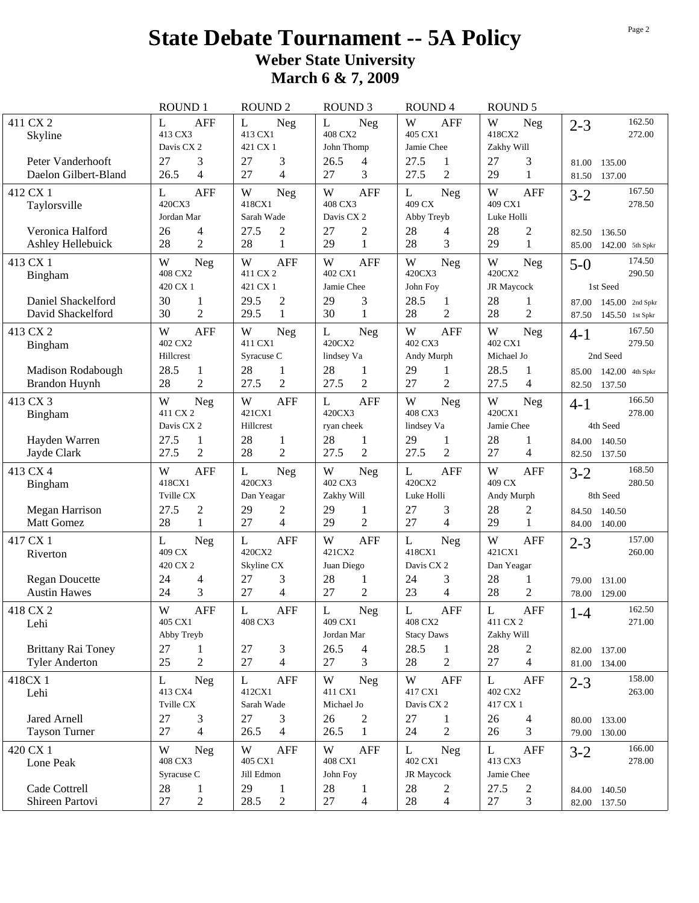# **State Debate Tournament -- 5A Policy Weber State University March 6 & 7, 2009**

|                                                    | <b>ROUND 1</b>                               | <b>ROUND 2</b>                           | <b>ROUND 3</b>                               | <b>ROUND4</b>                                   | <b>ROUND 5</b>                               |                                                        |
|----------------------------------------------------|----------------------------------------------|------------------------------------------|----------------------------------------------|-------------------------------------------------|----------------------------------------------|--------------------------------------------------------|
| 411 CX 2<br>Skyline                                | <b>AFF</b><br>L<br>413 CX3<br>Davis CX 2     | L<br><b>Neg</b><br>413 CX1<br>421 CX 1   | L<br>Neg<br>408 CX2<br>John Thomp            | W<br><b>AFF</b><br>405 CX1<br>Jamie Chee        | W<br>Neg<br>418CX2<br>Zakhy Will             | 162.50<br>$2 - 3$<br>272.00                            |
| Peter Vanderhooft<br>Daelon Gilbert-Bland          | 3<br>27<br>$\overline{4}$<br>26.5            | 27<br>3<br>27<br>4                       | 26.5<br>4<br>3<br>27                         | 27.5<br>1<br>$\overline{2}$<br>27.5             | 3<br>27<br>29<br>1                           | 81.00<br>135.00<br>137.00<br>81.50                     |
| 412 CX 1<br>Taylorsville                           | <b>AFF</b><br>L<br>420CX3<br>Jordan Mar      | W<br><b>Neg</b><br>418CX1<br>Sarah Wade  | W<br><b>AFF</b><br>408 CX3<br>Davis CX 2     | L<br>Neg<br>409 CX<br>Abby Treyb                | W<br><b>AFF</b><br>409 CX1<br>Luke Holli     | 167.50<br>$3-2$<br>278.50                              |
| Veronica Halford<br>Ashley Hellebuick              | 26<br>4<br>28<br>$\overline{2}$              | 27.5<br>2<br>28<br>1                     | $\overline{c}$<br>27<br>$\mathbf{1}$<br>29   | 28<br>4<br>3<br>28                              | 28<br>$\overline{c}$<br>29<br>$\mathbf{1}$   | 136.50<br>82.50<br>142.00 5th Spkr<br>85.00            |
| 413 CX 1<br>Bingham                                | W<br><b>Neg</b><br>408 CX2<br>420 CX 1       | W<br><b>AFF</b><br>411 CX 2<br>421 CX 1  | W<br><b>AFF</b><br>402 CX1<br>Jamie Chee     | W<br>Neg<br>420CX3<br>John Foy                  | W<br>Neg<br>420CX2<br>JR Maycock             | 174.50<br>$5-0$<br>290.50<br>1st Seed                  |
| Daniel Shackelford<br>David Shackelford            | 30<br>1<br>$\overline{2}$<br>30              | $\overline{c}$<br>29.5<br>29.5<br>1      | 29<br>3<br>30<br>1                           | 28.5<br>1<br>$\overline{2}$<br>28               | 28<br>1<br>$\overline{2}$<br>28              | 87.00<br>$145.00$ 2nd Spkr<br>87.50<br>145.50 1st Spkr |
| 413 CX 2<br>Bingham                                | <b>AFF</b><br>W<br>402 CX2<br>Hillcrest      | W<br>Neg<br>411 CX1<br>Syracuse C        | $\mathbf L$<br>Neg<br>420CX2<br>lindsey Va   | W<br><b>AFF</b><br>402 CX3<br>Andy Murph        | W<br>Neg<br>402 CX1<br>Michael Jo            | 167.50<br>$4 - 1$<br>279.50<br>2nd Seed                |
| <b>Madison Rodabough</b><br><b>Brandon Huynh</b>   | 28.5<br>$\mathbf{1}$<br>$\overline{2}$<br>28 | 28<br>1<br>27.5<br>2                     | 28<br>1<br>$\overline{2}$<br>27.5            | 29<br>1<br>$\overline{2}$<br>27                 | 28.5<br>1<br>27.5<br>4                       | 142.00 4th Spkr<br>85.00<br>137.50<br>82.50            |
| 413 CX 3<br>Bingham                                | W<br>Neg<br>411 CX 2<br>Davis CX 2           | W<br><b>AFF</b><br>421CX1<br>Hillcrest   | L<br><b>AFF</b><br>420CX3<br>ryan cheek      | W<br>Neg<br>408 CX3<br>lindsey Va               | W<br>Neg<br>420CX1<br>Jamie Chee             | 166.50<br>$4-1$<br>278.00<br>4th Seed                  |
| Hayden Warren<br>Jayde Clark                       | 27.5<br>1<br>$\overline{2}$<br>27.5          | 28<br>1<br>28<br>2                       | 28<br>1<br>2<br>27.5                         | 29<br>1<br>$\overline{2}$<br>27.5               | 28<br>1<br>27<br>4                           | 140.50<br>84.00<br>82.50<br>137.50                     |
| 413 CX 4<br>Bingham                                | W<br><b>AFF</b><br>418CX1<br>Tville CX       | L<br><b>Neg</b><br>420CX3<br>Dan Yeagar  | W<br><b>Neg</b><br>402 CX3<br>Zakhy Will     | L<br><b>AFF</b><br>420CX2<br>Luke Holli         | W<br><b>AFF</b><br>409 CX<br>Andy Murph      | 168.50<br>$3 - 2$<br>280.50<br>8th Seed                |
| <b>Megan Harrison</b><br><b>Matt Gomez</b>         | 27.5<br>$\overline{c}$<br>28<br>$\mathbf{1}$ | 29<br>2<br>4<br>27                       | 29<br>1<br>$\overline{2}$<br>29              | 3<br>27<br>27<br>4                              | 28<br>2<br>$\mathbf{1}$<br>29                | 84.50<br>140.50<br>84.00<br>140.00                     |
| 417 CX 1<br>Riverton                               | L<br><b>Neg</b><br>409 CX<br>420 CX 2        | <b>AFF</b><br>L<br>420CX2<br>Skyline CX  | W<br><b>AFF</b><br>421CX2<br>Juan Diego      | $\mathbf L$<br>Neg<br>418CX1<br>Davis CX 2      | W<br><b>AFF</b><br>421CX1<br>Dan Yeagar      | 157.00<br>$2 - 3$<br>260.00                            |
| <b>Regan Doucette</b><br><b>Austin Hawes</b>       | 24<br>4<br>3<br>24                           | 27<br>3<br>27<br>4                       | 28<br>1<br>$\overline{2}$<br>27              | 3<br>24<br>23<br>4                              | 28<br>1<br>$\mathbf{2}$<br>28                | 79.00<br>131.00<br>78.00<br>129.00                     |
| 418 CX 2<br>Lehi                                   | W<br>AFF<br>405 CX1<br>Abby Treyb            | L<br><b>AFF</b><br>408 CX3               | L<br>Neg<br>409 CX1<br>Jordan Mar            | L<br><b>AFF</b><br>408 CX2<br><b>Stacy Daws</b> | L<br>AFF<br>411 CX 2<br>Zakhy Will           | 162.50<br>$1-4$<br>271.00                              |
| <b>Brittany Rai Toney</b><br><b>Tyler Anderton</b> | 27<br>1<br>25<br>$\mathbf{2}$                | 27<br>3<br>27<br>$\overline{4}$          | 26.5<br>4<br>27<br>3                         | 28.5<br>1<br>28<br>$\overline{c}$               | 28<br>$\overline{c}$<br>27<br>$\overline{4}$ | 137.00<br>82.00<br>81.00 134.00                        |
| 418CX 1<br>Lehi                                    | L<br><b>Neg</b><br>413 CX4<br>Tville CX      | L<br><b>AFF</b><br>412CX1<br>Sarah Wade  | W<br>Neg<br>411 CX1<br>Michael Jo            | W<br><b>AFF</b><br>417 CX1<br>Davis CX 2        | L<br><b>AFF</b><br>402 CX2<br>417 CX 1       | 158.00<br>$2 - 3$<br>263.00                            |
| Jared Arnell<br><b>Tayson Turner</b>               | 27<br>3<br>$\overline{4}$<br>27              | 27<br>3<br>26.5<br>4                     | 26<br>$\overline{c}$<br>26.5<br>$\mathbf{1}$ | 27<br>1<br>$\overline{2}$<br>24                 | 26<br>$\overline{4}$<br>26<br>3              | 80.00 133.00<br>79.00 130.00                           |
| 420 CX 1<br>Lone Peak                              | W<br><b>Neg</b><br>408 CX3<br>Syracuse C     | W<br><b>AFF</b><br>405 CX1<br>Jill Edmon | W<br><b>AFF</b><br>408 CX1<br>John Foy       | L<br><b>Neg</b><br>402 CX1<br>JR Maycock        | L<br><b>AFF</b><br>413 CX3<br>Jamie Chee     | 166.00<br>$3 - 2$<br>278.00                            |
| Cade Cottrell<br>Shireen Partovi                   | 28<br>$\mathbf{1}$<br>$\mathbf{2}$<br>27     | 29<br>1<br>28.5<br>$\overline{c}$        | 28<br>$\mathbf{1}$<br>27<br>4                | 28<br>2<br>28<br>$\overline{4}$                 | 27.5<br>2<br>27<br>3                         | 84.00 140.50<br>82.00 137.50                           |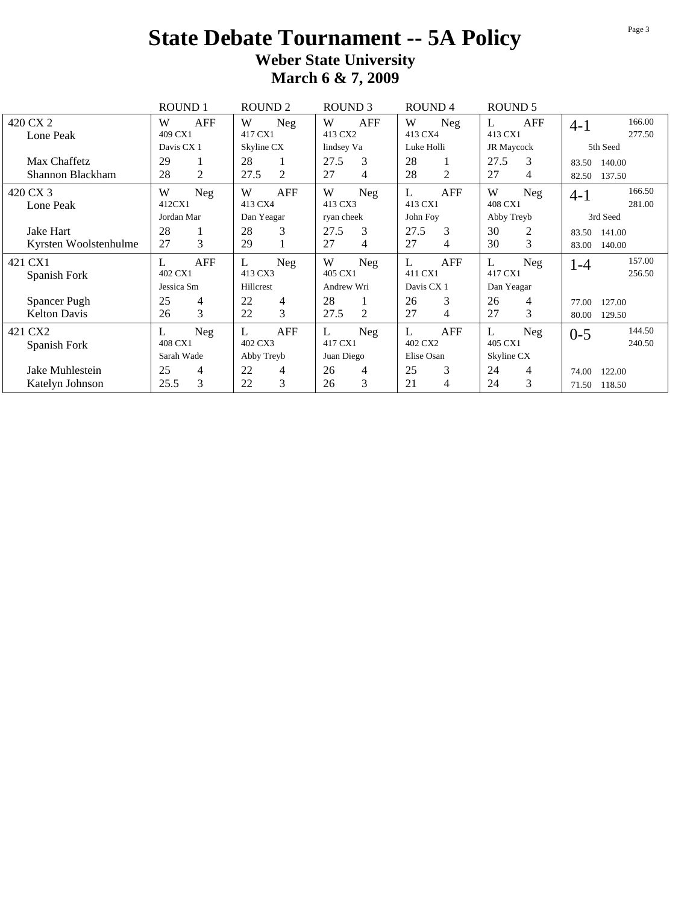## **State Debate Tournament -- 5A Policy Weber State University March 6 & 7, 2009**

|                       | <b>ROUND 1</b>       | <b>ROUND 2</b>         | ROUND <sub>3</sub> | ROUND <sub>4</sub> | <b>ROUND 5</b> |                   |
|-----------------------|----------------------|------------------------|--------------------|--------------------|----------------|-------------------|
| 420 CX 2              | AFF<br>W             | W<br>Neg               | AFF<br>W           | W<br><b>Neg</b>    | AFF<br>L       | 166.00<br>$4-1$   |
| Lone Peak             | 409 CX1              | 417 CX1                | 413 CX2            | 413 CX4            | 413 CX1        | 277.50            |
|                       | Davis CX 1           | Skyline CX             | lindsey Va         | Luke Holli         | JR Maycock     | 5th Seed          |
| Max Chaffetz          | 29<br>1              | 28                     | 3<br>27.5          | 28<br>1            | 27.5<br>3      | 83.50<br>140.00   |
| Shannon Blackham      | 2<br>28              | $\overline{2}$<br>27.5 | 27<br>4            | 2<br>28            | 27<br>4        | 137.50<br>82.50   |
| 420 CX 3              | W<br>Neg             | W<br>AFF               | W<br>Neg           | AFF<br>L           | W<br>Neg       | 166.50<br>$4-1$   |
| Lone Peak             | 412CX1               | 413 CX4                | 413 CX3            | 413 CX1            | 408 CX1        | 281.00            |
|                       | Jordan Mar           | Dan Yeagar             | ryan cheek         | John Foy           | Abby Treyb     | 3rd Seed          |
| Jake Hart             | 28<br>1              | 3<br>28                | 3<br>27.5          | 3<br>27.5          | 30<br>2        | 83.50<br>141.00   |
| Kyrsten Woolstenhulme | 3<br>27              | 29                     | 27<br>4            | 27<br>4            | 3<br>30        | 83.00<br>140.00   |
| 421 CX1               | AFF<br>L             | L<br><b>Neg</b>        | W<br>Neg           | L<br><b>AFF</b>    | L<br>Neg       | 157.00<br>$1 - 4$ |
| Spanish Fork          | 402 CX1              | 413 CX3                | 405 CX1            | 411 CX1            | 417 CX1        | 256.50            |
|                       | Jessica Sm           | Hillcrest              | Andrew Wri         | Davis CX 1         | Dan Yeagar     |                   |
| Spancer Pugh          | 25<br>4              | 22<br>4                | 28                 | 3<br>26            | 26<br>4        | 127.00<br>77.00   |
| <b>Kelton Davis</b>   | $\overline{3}$<br>26 | 3<br>22                | 27.5<br>2          | 27<br>4            | 3<br>27        | 80.00<br>129.50   |
| 421 CX2               | L<br>Neg             | <b>AFF</b><br>L        | L<br>Neg           | <b>AFF</b>         | L<br>Neg       | 144.50<br>$0 - 5$ |
| Spanish Fork          | 408 CX1              | 402 CX3                | 417 CX1            | 402 CX2            | 405 CX1        | 240.50            |
|                       | Sarah Wade           | Abby Treyb             | Juan Diego         | Elise Osan         | Skyline CX     |                   |
| Jake Muhlestein       | 25<br>4              | 22<br>4                | 26<br>4            | 3<br>25            | 24<br>4        | 122.00<br>74.00   |
| Katelyn Johnson       | 3<br>25.5            | 3<br>22                | 3<br>26            | 21<br>4            | 3<br>24        | 118.50<br>71.50   |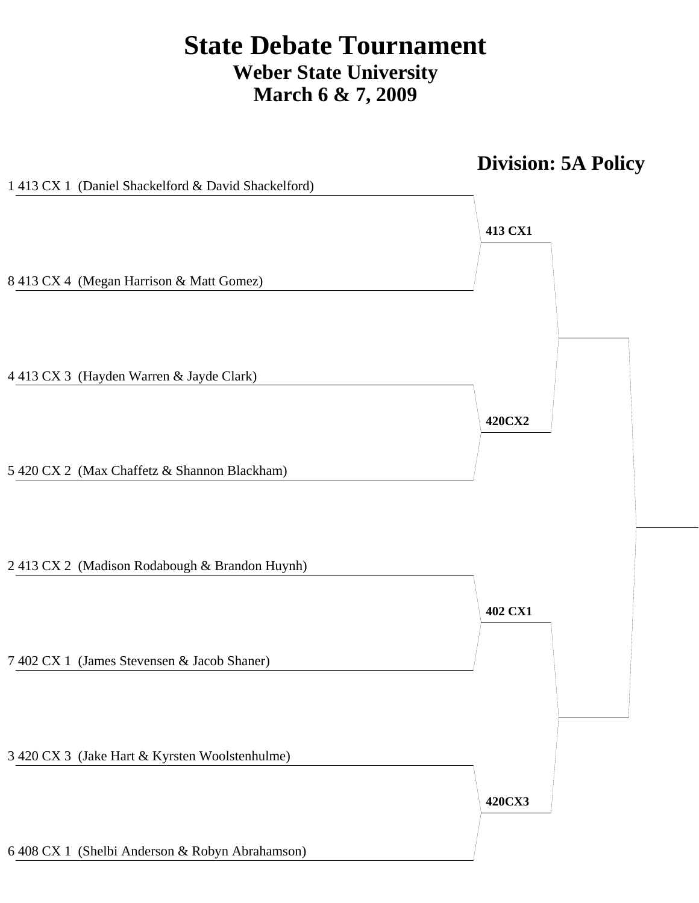# **State Debate Tournament Weber State University March 6 & 7, 2009**

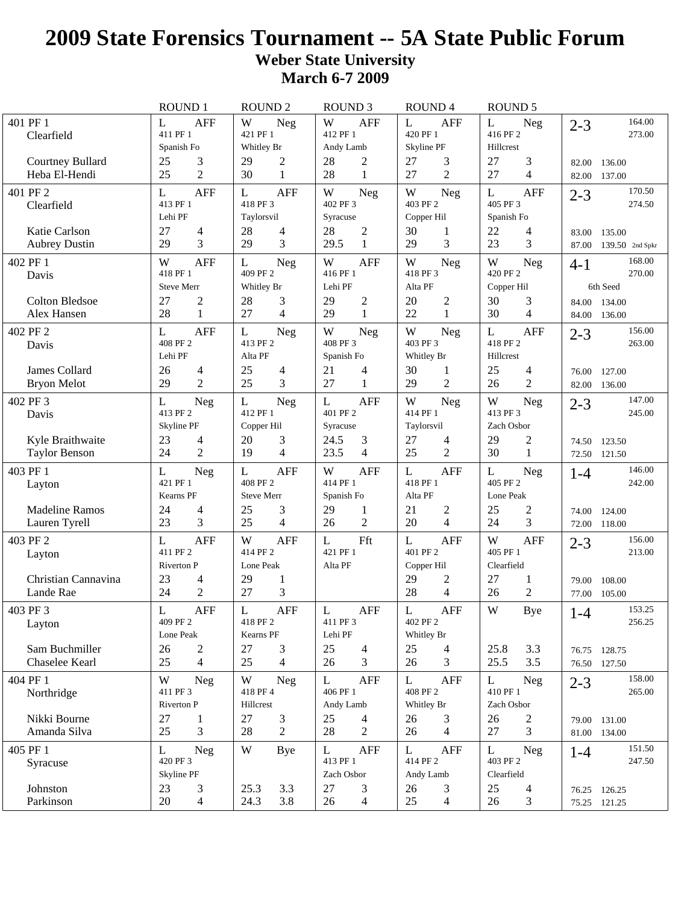## **2009 State Forensics Tournament -- 5A State Public Forum Weber State University March 6-7 2009**

|                                        | ROUND 1                     | <b>ROUND 2</b>              | <b>ROUND 3</b>            | ROUND 4                         | <b>ROUND 5</b>                  |                                             |
|----------------------------------------|-----------------------------|-----------------------------|---------------------------|---------------------------------|---------------------------------|---------------------------------------------|
| 401 PF 1                               | <b>AFF</b><br>L             | W<br><b>Neg</b>             | W<br><b>AFF</b>           | <b>AFF</b><br>L                 | L<br><b>Neg</b>                 | 164.00<br>$2 - 3$                           |
| Clearfield                             | 411 PF 1                    | 421 PF 1                    | 412 PF 1                  | 420 PF 1                        | 416 PF 2                        | 273.00                                      |
|                                        | Spanish Fo                  | Whitley Br                  | Andy Lamb                 | Skyline PF                      | Hillcrest                       |                                             |
| Courtney Bullard                       | 3<br>25                     | 29<br>$\overline{c}$        | 28<br>$\overline{c}$      | 27<br>3                         | 3<br>27                         | 82.00<br>136.00                             |
| Heba El-Hendi                          | $\overline{2}$<br>25        | 30<br>$\mathbf{1}$          | 28<br>$\mathbf{1}$        | $\overline{2}$<br>27            | $\overline{4}$<br>27            | 82.00<br>137.00                             |
| 401 PF 2                               | <b>AFF</b><br>L             | L<br>AFF                    | W<br>Neg                  | W<br>Neg                        | AFF<br>L                        | 170.50<br>$2 - 3$                           |
| Clearfield                             | 413 PF 1<br>Lehi PF         | 418 PF 3                    | 402 PF 3<br>Syracuse      | 403 PF 2                        | 405 PF 3                        | 274.50                                      |
| Katie Carlson                          | 27<br>4                     | Taylorsvil<br>28            | 28<br>$\mathbf{2}$        | Copper Hil<br>30                | Spanish Fo<br>22                |                                             |
| <b>Aubrey Dustin</b>                   | 3<br>29                     | 4<br>3<br>29                | 29.5<br>$\mathbf{1}$      | 1<br>3<br>29                    | 4<br>23<br>3                    | 83.00<br>135.00<br>87.00<br>139.50 2nd Spkr |
| 402 PF 1                               | <b>AFF</b><br>W             |                             | W<br><b>AFF</b>           | W                               | W                               | 168.00                                      |
| Davis                                  | 418 PF 1                    | L<br>Neg<br>409 PF 2        | 416 PF 1                  | Neg<br>418 PF 3                 | Neg<br>420 PF 2                 | $4 - 1$<br>270.00                           |
|                                        | <b>Steve Merr</b>           | Whitley Br                  | Lehi PF                   | Alta PF                         | Copper Hil                      | 6th Seed                                    |
| <b>Colton Bledsoe</b>                  | $\overline{c}$<br>27        | 28<br>3                     | 29<br>$\overline{c}$      | $\overline{c}$<br>20            | 30<br>3                         | 84.00 134.00                                |
| Alex Hansen                            | 28<br>$\mathbf{1}$          | 4<br>27                     | 29<br>$\mathbf{1}$        | 22<br>1                         | 30<br>$\overline{4}$            | 84.00<br>136.00                             |
| 402 PF 2                               | <b>AFF</b><br>L             | L<br>Neg                    | W<br>Neg                  | W<br>Neg                        | L<br><b>AFF</b>                 | 156.00<br>$2 - 3$                           |
| Davis                                  | 408 PF 2                    | 413 PF 2                    | 408 PF 3                  | 403 PF 3                        | 418 PF 2                        | 263.00                                      |
|                                        | Lehi PF                     | Alta PF                     | Spanish Fo                | Whitley Br                      | Hillcrest                       |                                             |
| James Collard                          | 26<br>4                     | 25<br>4                     | 21<br>4                   | 30<br>1                         | 25<br>4                         | 76.00<br>127.00                             |
| <b>Bryon Melot</b>                     | $\overline{2}$<br>29        | 3<br>25                     | 27<br>1                   | $\overline{c}$<br>29            | 26<br>2                         | 136.00<br>82.00                             |
| 402 PF 3                               | L<br><b>Neg</b>             | $\mathbf{L}$<br>Neg         | <b>AFF</b><br>L           | W<br><b>Neg</b>                 | W<br><b>Neg</b>                 | 147.00<br>$2 - 3$                           |
| Davis                                  | 413 PF 2                    | 412 PF 1                    | 401 PF 2                  | 414 PF 1                        | 413 PF 3                        | 245.00                                      |
|                                        | Skyline PF                  | Copper Hil                  | Syracuse                  | Taylorsvil                      | Zach Osbor                      |                                             |
| Kyle Braithwaite                       | 23<br>4                     | 20<br>3                     | 24.5<br>3                 | 27<br>4                         | 29<br>2                         | 74.50<br>123.50                             |
| <b>Taylor Benson</b>                   | $\overline{2}$<br>24        | 19<br>4                     | 23.5<br>$\overline{4}$    | $\overline{2}$<br>25            | 30<br>$\mathbf{1}$              | 72.50 121.50                                |
| 403 PF 1                               | L<br><b>Neg</b>             | $\mathbf{L}$<br><b>AFF</b>  | W<br><b>AFF</b>           | L<br><b>AFF</b>                 | L<br><b>Neg</b>                 | 146.00<br>$1 - 4$                           |
| Layton                                 | 421 PF 1                    | 408 PF 2                    | 414 PF 1                  | 418 PF 1                        | 405 PF 2                        | 242.00                                      |
|                                        | Kearns PF<br>24             | <b>Steve Merr</b>           | Spanish Fo<br>29          | Alta PF<br>21                   | Lone Peak                       |                                             |
| <b>Madeline Ramos</b><br>Lauren Tyrell | 4<br>23<br>3                | 25<br>3<br>4<br>25          | 1<br>$\overline{2}$<br>26 | 2<br>4<br>20                    | $\overline{2}$<br>25<br>3<br>24 | 74.00<br>124.00<br>118.00<br>72.00          |
|                                        |                             |                             |                           |                                 |                                 |                                             |
| 403 PF 2                               | <b>AFF</b><br>L<br>411 PF 2 | W<br><b>AFF</b><br>414 PF 2 | Fft<br>L<br>421 PF 1      | L<br><b>AFF</b><br>401 PF 2     | W<br><b>AFF</b><br>405 PF 1     | 156.00<br>$2 - 3$<br>213.00                 |
| Layton                                 | <b>Riverton P</b>           | Lone Peak                   | Alta PF                   | Copper Hil                      | Clearfield                      |                                             |
| Christian Cannavina                    | 23<br>4                     | 29<br>$\mathbf{1}$          |                           | 29<br>$\overline{c}$            | 27<br>$\mathbf{1}$              | 108.00<br>79.00                             |
| Lande Rae                              | $\overline{2}$<br>24        | 3<br>27                     |                           | 28<br>4                         | $\overline{2}$<br>26            | 77.00<br>105.00                             |
| 403 PF 3                               | L<br><b>AFF</b>             | <b>AFF</b><br>L             | L<br>AFF                  | L<br>AFF                        | W<br>Bye                        | 153.25                                      |
| Layton                                 | 409 PF 2                    | 418 PF 2                    | 411 PF 3                  | 402 PF 2                        |                                 | $1-4$<br>256.25                             |
|                                        | Lone Peak                   | Kearns PF                   | Lehi PF                   | Whitley Br                      |                                 |                                             |
| Sam Buchmiller                         | 26<br>$\mathbf{2}$          | 27<br>3                     | 25<br>$\overline{4}$      | 25<br>$\overline{4}$            | 25.8<br>3.3                     | 76.75 128.75                                |
| Chaselee Kearl                         | $\overline{4}$<br>25        | 25<br>$\overline{4}$        | 26<br>3                   | 3<br>26                         | 25.5<br>3.5                     | 76.50 127.50                                |
| 404 PF 1                               | W<br><b>Neg</b>             | W<br><b>Neg</b>             | L<br><b>AFF</b>           | L<br><b>AFF</b>                 | L<br>Neg                        | 158.00<br>$2 - 3$                           |
| Northridge                             | 411 PF 3                    | 418 PF 4                    | 406 PF 1                  | 408 PF 2                        | 410 PF 1                        | 265.00                                      |
|                                        | Riverton P                  | Hillcrest                   | Andy Lamb                 | Whitley Br                      | Zach Osbor                      |                                             |
| Nikki Bourne                           | 27<br>$\mathbf{1}$          | 27<br>3                     | 25<br>4                   | 26<br>3                         | 26<br>$\overline{c}$            | 79.00 131.00                                |
| Amanda Silva                           | 25<br>3                     | 2<br>28                     | 28<br>$\overline{2}$      | $\overline{4}$<br>26            | 3<br>27                         | 81.00 134.00                                |
| 405 PF 1                               | L<br><b>Neg</b>             | W<br>Bye                    | AFF<br>L                  | L<br><b>AFF</b>                 | L<br>Neg                        | 151.50<br>$1 - 4$                           |
| Syracuse                               | 420 PF 3                    |                             | 413 PF 1                  | 414 PF 2                        | 403 PF 2                        | 247.50                                      |
|                                        | Skyline PF                  |                             | Zach Osbor                | Andy Lamb                       | Clearfield                      |                                             |
| Johnston<br>Parkinson                  | 23<br>3<br>20<br>4          | 25.3<br>3.3<br>24.3<br>3.8  | 27<br>3<br>26<br>4        | 26<br>3<br>25<br>$\overline{4}$ | 25<br>4<br>26<br>3              | 76.25 126.25                                |
|                                        |                             |                             |                           |                                 |                                 | 75.25 121.25                                |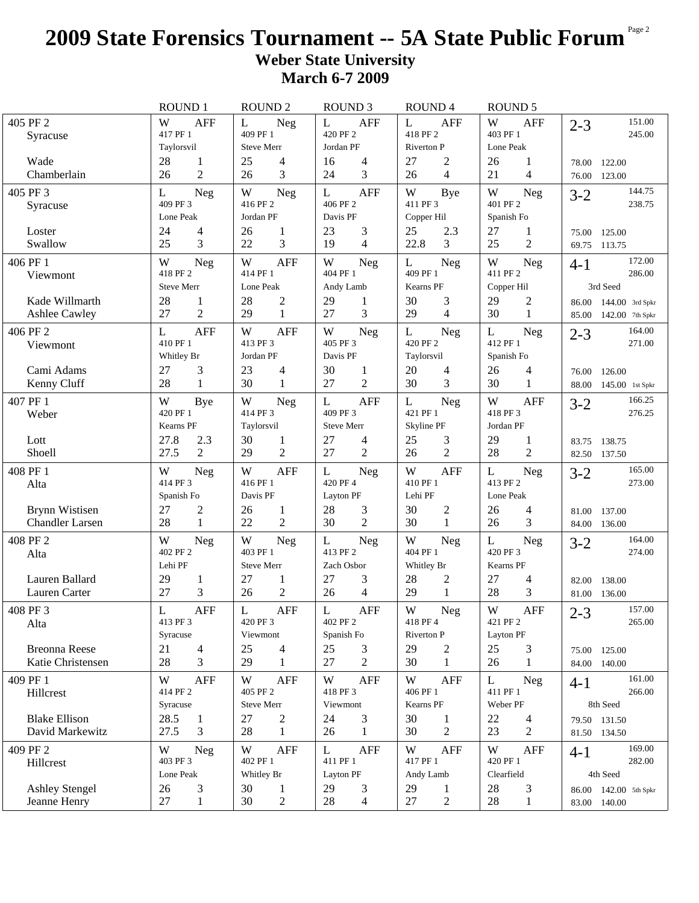## **2009 State Forensics Tournament -- 5A State Public Forum** Page 2 **Weber State University March 6-7 2009**

|                                       | ROUND 1                        | <b>ROUND 2</b>                             | <b>ROUND 3</b>                        | ROUND 4                       | <b>ROUND 5</b>              |                             |
|---------------------------------------|--------------------------------|--------------------------------------------|---------------------------------------|-------------------------------|-----------------------------|-----------------------------|
| 405 PF 2                              | W<br><b>AFF</b>                | L<br>Neg                                   | <b>AFF</b><br>L                       | L<br><b>AFF</b>               | W<br><b>AFF</b>             | 151.00<br>$2 - 3$           |
| Syracuse                              | 417 PF 1<br>Taylorsvil         | 409 PF 1<br><b>Steve Merr</b>              | 420 PF 2<br>Jordan PF                 | 418 PF 2<br><b>Riverton P</b> | 403 PF 1<br>Lone Peak       | 245.00                      |
| Wade                                  | 28<br>$\mathbf{1}$             | 25<br>4                                    | 4<br>16                               | 27<br>$\overline{c}$          | 26<br>1                     | 122.00                      |
| Chamberlain                           | $\overline{2}$<br>26           | 3<br>26                                    | 3<br>24                               | $\overline{4}$<br>26          | $\overline{4}$<br>21        | 78.00<br>76.00 123.00       |
| 405 PF 3                              | L<br>Neg                       | W<br>Neg                                   | <b>AFF</b><br>L                       | W<br><b>Bye</b>               | W<br>Neg                    | 144.75<br>$3-2$             |
| Syracuse                              | 409 PF 3                       | 416 PF 2                                   | 406 PF 2                              | 411 PF 3                      | 401 PF 2                    | 238.75                      |
|                                       | Lone Peak                      | Jordan PF                                  | Davis PF                              | Copper Hil                    | Spanish Fo                  |                             |
| Loster                                | 24<br>$\overline{\mathcal{L}}$ | 26<br>$\mathbf{1}$                         | 23<br>3                               | 25<br>2.3                     | 27<br>$\mathbf{1}$          | 125.00<br>75.00             |
| Swallow                               | 25<br>3                        | 22<br>3                                    | 19<br>4                               | 22.8<br>3                     | 25<br>$\overline{2}$        | 69.75<br>113.75             |
| 406 PF 1                              | W<br>Neg                       | W<br><b>AFF</b>                            | W<br><b>Neg</b>                       | L<br>Neg                      | W<br>Neg                    | 172.00<br>$4 - 1$           |
| Viewmont                              | 418 PF 2                       | 414 PF 1                                   | 404 PF 1                              | 409 PF 1                      | 411 PF 2                    | 286.00                      |
|                                       | <b>Steve Merr</b>              | Lone Peak                                  | Andy Lamb                             | Kearns PF                     | Copper Hil                  | 3rd Seed                    |
| Kade Willmarth                        | 28<br>1                        | 28<br>$\overline{c}$                       | 29<br>1                               | 30<br>3                       | 29<br>2                     | 86.00 144.00 3rd Spkr       |
| <b>Ashlee Cawley</b>                  | $\overline{2}$<br>27           | $\mathbf{1}$<br>29                         | 3<br>27                               | $\overline{4}$<br>29          | 30<br>$\mathbf{1}$          | 142.00 7th Spkr<br>85.00    |
| 406 PF 2                              | <b>AFF</b><br>L                | W<br><b>AFF</b>                            | $\ensuremath{\text{W}}$<br><b>Neg</b> | L<br>Neg                      | L<br>Neg                    | 164.00<br>$2 - 3$           |
| Viewmont                              | 410 PF 1                       | 413 PF 3                                   | 405 PF 3<br>Davis PF                  | 420 PF 2                      | 412 PF 1                    | 271.00                      |
|                                       | Whitley Br                     | Jordan PF                                  |                                       | Taylorsvil                    | Spanish Fo                  |                             |
| Cami Adams                            | 27<br>3<br>28<br>$\mathbf{1}$  | 23<br>4<br>30<br>1                         | 30<br>$\mathbf{1}$<br>27<br>2         | 20<br>4<br>30<br>3            | 26<br>4<br>30<br>1          | 76.00<br>126.00             |
| Kenny Cluff                           |                                |                                            |                                       |                               |                             | 88.00<br>145.00 1st Spkr    |
| 407 PF 1                              | W<br>Bye<br>420 PF 1           | W<br>Neg<br>414 PF 3                       | $\mathbf L$<br><b>AFF</b><br>409 PF 3 | L<br><b>Neg</b><br>421 PF 1   | W<br><b>AFF</b><br>418 PF 3 | 166.25<br>$3 - 2$<br>276.25 |
| Weber                                 | Kearns PF                      | Taylorsvil                                 | <b>Steve Merr</b>                     | Skyline PF                    | Jordan PF                   |                             |
| Lott                                  | 27.8<br>2.3                    | 30<br>1                                    | 27<br>4                               | 25<br>3                       | 29<br>1                     | 83.75 138.75                |
| Shoell                                | 27.5<br>2                      | $\overline{2}$<br>29                       | 27<br>$\overline{2}$                  | $\mathbf{2}$<br>26            | $\overline{2}$<br>28        | 82.50 137.50                |
| 408 PF 1                              | W                              | W<br><b>AFF</b>                            | L                                     | W<br><b>AFF</b>               | L<br>Neg                    | 165.00                      |
| Alta                                  | Neg<br>414 PF 3                | 416 PF 1                                   | <b>Neg</b><br>420 PF 4                | 410 PF 1                      | 413 PF 2                    | $3 - 2$<br>273.00           |
|                                       | Spanish Fo                     | Davis PF                                   | Layton PF                             | Lehi PF                       | Lone Peak                   |                             |
| <b>Brynn Wistisen</b>                 | $\overline{c}$<br>27           | 26<br>1                                    | 28<br>3                               | 30<br>2                       | 26<br>4                     | 81.00 137.00                |
| <b>Chandler Larsen</b>                | $\mathbf{1}$<br>28             | $\overline{2}$<br>22                       | $\overline{2}$<br>30                  | 30<br>1                       | 3<br>26                     | 84.00 136.00                |
| 408 PF 2                              | W<br>Neg                       | W<br>Neg                                   | L<br>Neg                              | W<br><b>Neg</b>               | L<br>Neg                    | 164.00<br>$3 - 2$           |
| Alta                                  | 402 PF 2                       | 403 PF 1                                   | 413 PF 2                              | 404 PF 1                      | 420 PF 3                    | 274.00                      |
|                                       | Lehi PF                        | Steve Merr                                 | Zach Osbor                            | Whitley Br                    | Kearns PF                   |                             |
| Lauren Ballard                        | 29<br>1                        | 27<br>1                                    | 27<br>3                               | 28<br>$\overline{c}$          | 27<br>4                     | 82.00<br>138.00             |
| Lauren Carter                         | 3<br>27                        | $\overline{2}$<br>26                       | 4<br>26                               | 29<br>$\mathbf{1}$            | 28<br>3                     | 81.00<br>136.00             |
| 408 PF 3                              | L<br><b>AFF</b>                | <b>AFF</b><br>L                            | L<br><b>AFF</b>                       | W<br>${\hbox{Neg}}$           | W<br><b>AFF</b>             | 157.00<br>$2 - 3$           |
| Alta                                  | 413 PF 3                       | 420 PF 3                                   | 402 PF 2                              | 418 PF 4                      | 421 PF 2                    | 265.00                      |
|                                       | Syracuse                       | Viewmont                                   | Spanish Fo                            | Riverton P                    | Layton PF                   |                             |
| <b>Breonna Reese</b>                  | 21<br>$\overline{4}$           | 25<br>4                                    | 25<br>3                               | 29<br>$\overline{c}$          | 25<br>3                     | 75.00 125.00                |
| Katie Christensen                     | 3<br>28                        | 29<br>$\mathbf{1}$                         | 27<br>$\overline{2}$                  | 30<br>1                       | 26<br>$\mathbf{1}$          | 84.00 140.00                |
| 409 PF 1                              | W<br><b>AFF</b>                | <b>AFF</b><br>W                            | W<br><b>AFF</b>                       | W<br><b>AFF</b>               | L<br>Neg                    | 161.00<br>$4-1$             |
| Hillcrest                             | 414 PF 2                       | 405 PF 2                                   | 418 PF 3                              | 406 PF 1                      | 411 PF 1                    | 266.00                      |
|                                       | Syracuse                       | Steve Merr                                 | Viewmont                              | Kearns PF                     | Weber PF                    | 8th Seed                    |
| <b>Blake Ellison</b>                  | 28.5<br>$\mathbf{1}$           | 27<br>2                                    | 24<br>3                               | 30<br>1                       | 22<br>4                     | 79.50 131.50                |
| David Markewitz                       | 27.5<br>3                      | 28<br>1                                    | 26<br>1                               | 30<br>2                       | $\overline{2}$<br>23        | 81.50 134.50                |
| 409 PF 2                              | W<br>Neg                       | W<br><b>AFF</b>                            | L<br>AFF                              | W<br><b>AFF</b>               | W<br>AFF                    | 169.00<br>$4 - 1$           |
| Hillcrest                             | 403 PF 3                       | 402 PF 1                                   | 411 PF 1                              | 417 PF 1                      | 420 PF 1                    | 282.00                      |
|                                       | Lone Peak<br>26                | Whitley Br                                 | Layton PF                             | Andy Lamb<br>29               | Clearfield<br>28            | 4th Seed                    |
| <b>Ashley Stengel</b><br>Jeanne Henry | 3<br>27<br>$\mathbf{1}$        | 30<br>$\mathbf{1}$<br>30<br>$\overline{c}$ | 29<br>3<br>28<br>4                    | 1<br>27<br>$\overline{c}$     | 3<br>28<br>$\mathbf{1}$     | 86.00 142.00 5th Spkr       |
|                                       |                                |                                            |                                       |                               |                             | 83.00 140.00                |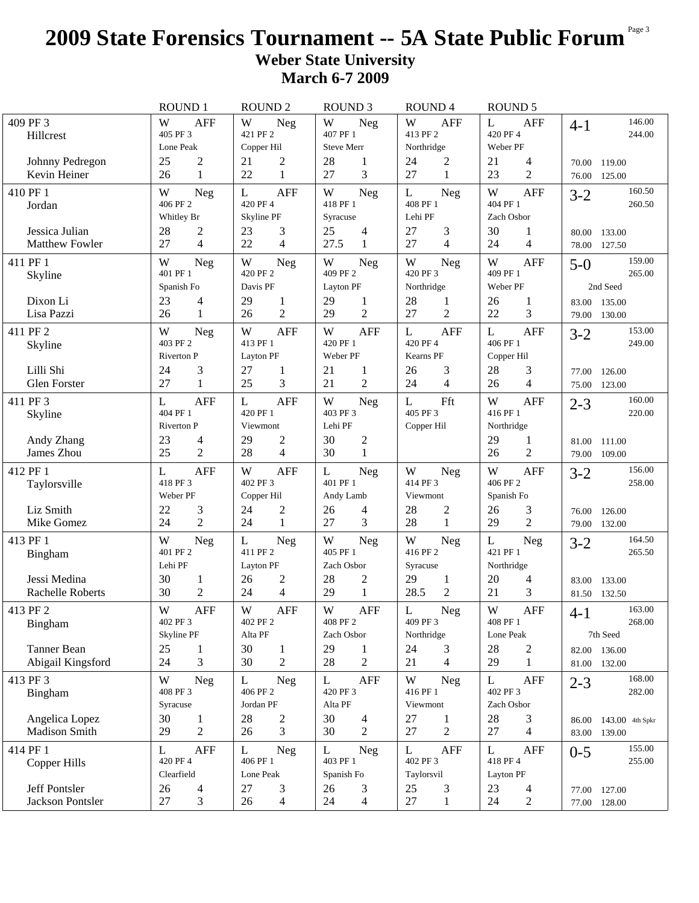## **2009 State Forensics Tournament -- 5A State Public Forum** Page 3 **Weber State University March 6-7 2009**

|                                                         | <b>ROUND1</b>                                                              | <b>ROUND 2</b>                                                 | <b>ROUND 3</b>                                                             | <b>ROUND4</b>                                                  | <b>ROUND 5</b>                                                               |                                                |
|---------------------------------------------------------|----------------------------------------------------------------------------|----------------------------------------------------------------|----------------------------------------------------------------------------|----------------------------------------------------------------|------------------------------------------------------------------------------|------------------------------------------------|
| 409 PF 3<br>Hillcrest                                   | W<br><b>AFF</b><br>405 PF 3<br>Lone Peak                                   | W<br>Neg<br>421 PF 2<br>Copper Hil                             | W<br>Neg<br>407 PF 1<br><b>Steve Merr</b>                                  | W<br><b>AFF</b><br>413 PF 2<br>Northridge                      | $\mathbf{L}$<br><b>AFF</b><br>420 PF 4<br>Weber PF                           | 146.00<br>$4 - 1$<br>244.00                    |
| Johnny Pedregon<br>Kevin Heiner                         | $\mathfrak{2}$<br>25<br>$\mathbf{1}$<br>26                                 | $\overline{c}$<br>21<br>22<br>$\mathbf{1}$                     | 28<br>1<br>3<br>27                                                         | $\overline{c}$<br>24<br>27<br>$\mathbf{1}$                     | 21<br>4<br>$\overline{2}$<br>23                                              | 70.00<br>119.00<br>76.00<br>125.00             |
| 410 PF 1<br>Jordan                                      | W<br><b>Neg</b><br>406 PF 2<br>Whitley Br                                  | L<br><b>AFF</b><br>420 PF 4<br>Skyline PF                      | W<br>Neg<br>418 PF 1<br>Syracuse                                           | L<br><b>Neg</b><br>408 PF 1<br>Lehi PF                         | W<br><b>AFF</b><br>404 PF 1<br>Zach Osbor                                    | 160.50<br>$3 - 2$<br>260.50                    |
| Jessica Julian<br><b>Matthew Fowler</b>                 | 28<br>$\overline{c}$<br>27<br>$\overline{4}$                               | 23<br>3<br>22<br>4                                             | 25<br>4<br>27.5<br>$\mathbf{1}$                                            | 27<br>3<br>27<br>4                                             | 30<br>1<br>$\overline{4}$<br>24                                              | 133.00<br>80.00<br>78.00<br>127.50             |
| 411 PF 1<br>Skyline<br>Dixon Li                         | W<br>Neg<br>401 PF 1<br>Spanish Fo<br>23                                   | W<br><b>Neg</b><br>420 PF 2<br>Davis PF<br>29                  | $\ensuremath{\text{W}}$<br>Neg<br>409 PF 2<br>Layton PF<br>29              | W<br>Neg<br>420 PF 3<br>Northridge<br>28                       | W<br><b>AFF</b><br>409 PF 1<br>Weber PF<br>26                                | 159.00<br>$5-0$<br>265.00<br>2nd Seed          |
| Lisa Pazzi                                              | 4<br>26<br>$\mathbf{1}$                                                    | $\mathbf{1}$<br>$\overline{2}$<br>26                           | 1<br>$\overline{2}$<br>29                                                  | 1<br>$\overline{2}$<br>27                                      | 1<br>22<br>3                                                                 | 83.00 135.00<br>79.00 130.00                   |
| 411 PF 2<br>Skyline<br>Lilli Shi<br><b>Glen Forster</b> | W<br><b>Neg</b><br>403 PF 2<br>Riverton P<br>3<br>24<br>27<br>$\mathbf{1}$ | W<br><b>AFF</b><br>413 PF 1<br>Layton PF<br>27<br>1<br>25<br>3 | W<br><b>AFF</b><br>420 PF 1<br>Weber PF<br>21<br>1<br>21<br>$\overline{2}$ | <b>AFF</b><br>L<br>420 PF 4<br>Kearns PF<br>26<br>3<br>24<br>4 | <b>AFF</b><br>L<br>406 PF 1<br>Copper Hil<br>28<br>3<br>$\overline{4}$<br>26 | 153.00<br>$3 - 2$<br>249.00<br>126.00<br>77.00 |
| 411 PF 3<br>Skyline                                     | L<br><b>AFF</b><br>404 PF 1<br><b>Riverton P</b>                           | L<br><b>AFF</b><br>420 PF 1<br>Viewmont                        | W<br>Neg<br>403 PF 3<br>Lehi PF                                            | Fft<br>L<br>405 PF 3<br>Copper Hil                             | W<br><b>AFF</b><br>416 PF 1<br>Northridge                                    | 123.00<br>75.00<br>160.00<br>$2 - 3$<br>220.00 |
| Andy Zhang<br>James Zhou                                | 23<br>4<br>25<br>$\overline{2}$                                            | 29<br>$\overline{c}$<br>28<br>4                                | 30<br>$\overline{c}$<br>$\mathbf{1}$<br>30                                 |                                                                | 29<br>1<br>$\overline{2}$<br>26                                              | 111.00<br>81.00<br>109.00<br>79.00             |
| 412 PF 1<br>Taylorsville                                | L<br><b>AFF</b><br>418 PF 3<br>Weber PF                                    | W<br><b>AFF</b><br>402 PF 3<br>Copper Hil                      | L<br><b>Neg</b><br>401 PF 1<br>Andy Lamb                                   | W<br><b>Neg</b><br>414 PF 3<br>Viewmont                        | W<br><b>AFF</b><br>406 PF 2<br>Spanish Fo                                    | 156.00<br>$3 - 2$<br>258.00                    |
| Liz Smith<br>Mike Gomez                                 | 3<br>22<br>$\overline{2}$<br>24                                            | $\overline{c}$<br>24<br>24<br>1                                | 26<br>4<br>3<br>27                                                         | 28<br>2<br>28<br>1                                             | 3<br>26<br>$\overline{2}$<br>29                                              | 76.00<br>126.00<br>79.00 132.00                |
| 413 PF 1<br>Bingham                                     | W<br>Neg<br>401 PF 2<br>Lehi PF                                            | L<br><b>Neg</b><br>411 PF 2<br>Layton PF                       | W<br><b>Neg</b><br>405 PF 1<br>Zach Osbor                                  | W<br><b>Neg</b><br>416 PF 2<br>Syracuse                        | L<br>Neg<br>421 PF 1<br>Northridge                                           | 164.50<br>$3-2$<br>265.50                      |
| Jessi Medina<br><b>Rachelle Roberts</b>                 | 30<br>1<br>30<br>$\mathfrak{2}$                                            | 26<br>2<br>$\overline{4}$<br>24                                | 28<br>$\overline{c}$<br>29<br>$\mathbf{1}$                                 | 29<br>$\mathbf{1}$<br>28.5<br>$\mathfrak{2}$                   | 20<br>4<br>3<br>21                                                           | 83.00<br>133.00<br>81.50<br>132.50             |
| 413 PF 2<br>Bingham                                     | W<br>AFF<br>402 PF 3<br>Skyline PF                                         | W<br><b>AFF</b><br>402 PF 2<br>Alta PF                         | W<br>AFF<br>408 PF 2<br>Zach Osbor                                         | L<br>Neg<br>409 PF 3<br>Northridge                             | W<br><b>AFF</b><br>408 PF 1<br>Lone Peak                                     | 163.00<br>$4-1$<br>268.00<br>7th Seed          |
| Tanner Bean<br>Abigail Kingsford                        | 25<br>1<br>3<br>24                                                         | 30<br>$\mathbf{1}$<br>30<br>2                                  | 29<br>1<br>28<br>$\overline{2}$                                            | 24<br>3<br>21<br>4                                             | 28<br>$\overline{c}$<br>29<br>$\mathbf{1}$                                   | 82.00 136.00<br>81.00 132.00                   |
| 413 PF 3<br>Bingham                                     | W<br><b>Neg</b><br>408 PF 3<br>Syracuse                                    | L<br><b>Neg</b><br>406 PF 2<br>Jordan PF                       | L<br><b>AFF</b><br>420 PF 3<br>Alta PF                                     | W<br><b>Neg</b><br>416 PF 1<br>Viewmont                        | <b>AFF</b><br>L<br>402 PF 3<br>Zach Osbor                                    | 168.00<br>$2 - 3$<br>282.00                    |
| Angelica Lopez<br>Madison Smith                         | 30<br>$\mathbf{1}$<br>$\overline{2}$<br>29                                 | 28<br>2<br>3<br>26                                             | 30<br>4<br>30<br>2                                                         | 27<br>1<br>$\overline{2}$<br>$27\,$                            | 28<br>3<br>$\overline{4}$<br>27                                              | 86.00 143.00 4th Spkr<br>83.00 139.00          |
| 414 PF 1<br>Copper Hills                                | L<br><b>AFF</b><br>420 PF 4<br>Clearfield                                  | L<br>Neg<br>406 PF 1<br>Lone Peak                              | L<br><b>Neg</b><br>403 PF 1<br>Spanish Fo                                  | L<br><b>AFF</b><br>402 PF 3<br>Taylorsvil                      | L<br>AFF<br>418 PF 4<br>Layton PF                                            | 155.00<br>$0 - 5$<br>255.00                    |
| Jeff Pontsler<br>Jackson Pontsler                       | 26<br>4<br>27<br>3                                                         | 27<br>3<br>26<br>4                                             | 26<br>3<br>24<br>4                                                         | 25<br>3<br>27<br>$\mathbf{1}$                                  | 23<br>4<br>24<br>2                                                           | 77.00 127.00<br>77.00 128.00                   |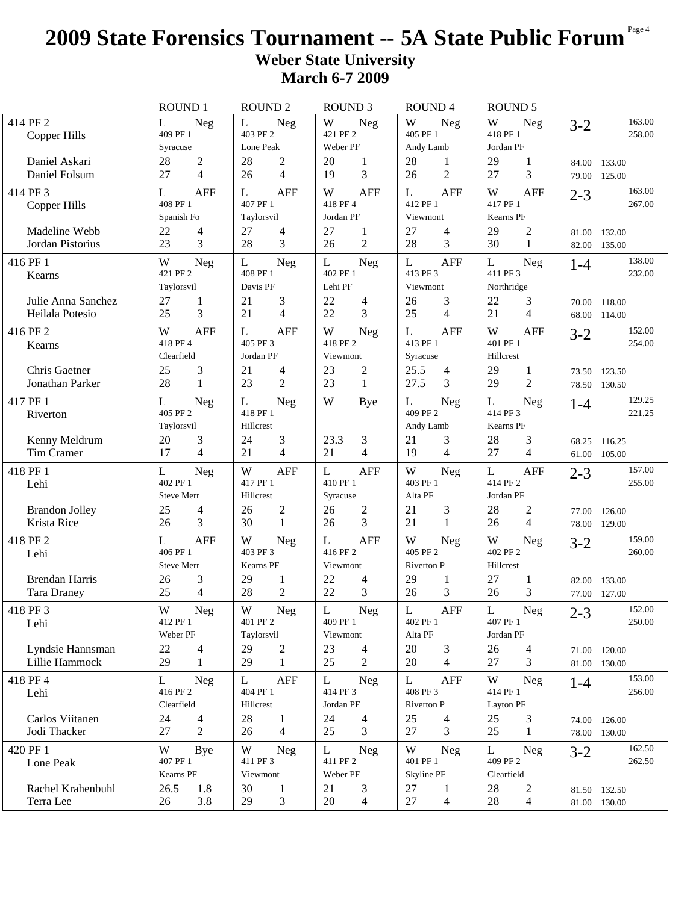## **2009 State Forensics Tournament -- 5A State Public Forum** Page 4 **Weber State University March 6-7 2009**

|                                             | <b>ROUND 1</b>                                           | <b>ROUND 2</b>                                            | <b>ROUND 3</b>                                                | <b>ROUND4</b>                                | <b>ROUND 5</b>                            |                                    |
|---------------------------------------------|----------------------------------------------------------|-----------------------------------------------------------|---------------------------------------------------------------|----------------------------------------------|-------------------------------------------|------------------------------------|
| 414 PF 2<br>Copper Hills                    | L<br><b>Neg</b><br>409 PF 1                              | L<br><b>Neg</b><br>403 PF 2                               | W<br>Neg<br>421 PF 2                                          | W<br>Neg<br>405 PF 1                         | W<br><b>Neg</b><br>418 PF 1               | 163.00<br>$3-2$<br>258.00          |
| Daniel Askari<br>Daniel Folsum              | Syracuse<br>$\overline{c}$<br>28<br>$\overline{4}$<br>27 | Lone Peak<br>28<br>$\overline{c}$<br>$\overline{4}$<br>26 | Weber PF<br>20<br>1<br>3<br>19                                | Andy Lamb<br>28<br>1<br>$\overline{2}$<br>26 | Jordan PF<br>29<br>1<br>3<br>27           | 84.00<br>133.00<br>125.00<br>79.00 |
| 414 PF 3<br>Copper Hills                    | <b>AFF</b><br>L<br>408 PF 1<br>Spanish Fo                | <b>AFF</b><br>L<br>407 PF 1<br>Taylorsvil                 | W<br><b>AFF</b><br>418 PF 4<br>Jordan PF                      | <b>AFF</b><br>L<br>412 PF 1<br>Viewmont      | W<br><b>AFF</b><br>417 PF 1<br>Kearns PF  | 163.00<br>$2 - 3$<br>267.00        |
| Madeline Webb<br>Jordan Pistorius           | 22<br>4<br>3<br>23                                       | 27<br>4<br>28<br>3                                        | 27<br>1<br>$\overline{2}$<br>26                               | 27<br>4<br>3<br>28                           | 2<br>29<br>$\mathbf{1}$<br>30             | 132.00<br>81.00<br>135.00<br>82.00 |
| 416 PF 1<br>Kearns                          | W<br>Neg<br>421 PF 2<br>Taylorsvil                       | L<br>Neg<br>408 PF 1<br>Davis PF                          | Neg<br>L<br>402 PF 1<br>Lehi PF                               | L<br><b>AFF</b><br>413 PF 3<br>Viewmont      | L<br><b>Neg</b><br>411 PF 3<br>Northridge | 138.00<br>$1 - 4$<br>232.00        |
| Julie Anna Sanchez<br>Heilala Potesio       | 27<br>1<br>3<br>25                                       | 21<br>3<br>21<br>4                                        | 22<br>$\overline{\mathcal{L}}$<br>3<br>22                     | 3<br>26<br>25<br>$\overline{4}$              | 22<br>3<br>21<br>4                        | 118.00<br>70.00<br>68.00<br>114.00 |
| 416 PF 2<br>Kearns                          | <b>AFF</b><br>W<br>418 PF 4<br>Clearfield                | <b>AFF</b><br>L<br>405 PF 3<br>Jordan PF                  | $\ensuremath{\text{W}}$<br><b>Neg</b><br>418 PF 2<br>Viewmont | L<br><b>AFF</b><br>413 PF 1<br>Syracuse      | W<br><b>AFF</b><br>401 PF 1<br>Hillcrest  | 152.00<br>$3 - 2$<br>254.00        |
| Chris Gaetner<br>Jonathan Parker            | 25<br>3<br>28<br>1                                       | 21<br>4<br>23<br>$\overline{2}$                           | 23<br>2<br>23<br>$\mathbf{1}$                                 | 25.5<br>4<br>27.5<br>3                       | 29<br>1<br>$\overline{2}$<br>29           | 73.50 123.50<br>78.50 130.50       |
| 417 PF 1<br>Riverton                        | L<br>Neg<br>405 PF 2<br>Taylorsvil                       | L<br>Neg<br>418 PF 1<br>Hillcrest                         | W<br><b>Bye</b>                                               | L<br><b>Neg</b><br>409 PF 2<br>Andy Lamb     | L<br><b>Neg</b><br>414 PF 3<br>Kearns PF  | 129.25<br>$1 - 4$<br>221.25        |
| Kenny Meldrum<br>Tim Cramer                 | 20<br>3<br>17<br>4                                       | 24<br>3<br>21<br>4                                        | 23.3<br>3<br>21<br>$\overline{4}$                             | 21<br>3<br>19<br>$\overline{4}$              | 28<br>3<br>27<br>4                        | 68.25<br>116.25<br>61.00 105.00    |
| 418 PF 1<br>Lehi                            | L<br><b>Neg</b><br>402 PF 1<br><b>Steve Merr</b>         | W<br><b>AFF</b><br>417 PF 1<br>Hillcrest                  | <b>AFF</b><br>L<br>410 PF 1<br>Syracuse                       | W<br>Neg<br>403 PF 1<br>Alta PF              | L<br><b>AFF</b><br>414 PF 2<br>Jordan PF  | 157.00<br>$2 - 3$<br>255.00        |
| <b>Brandon Jolley</b><br>Krista Rice        | 25<br>4<br>3<br>26                                       | 26<br>2<br>30<br>$\mathbf{1}$                             | 26<br>2<br>3<br>26                                            | 21<br>3<br>21<br>1                           | 28<br>2<br>4<br>26                        | 77.00<br>126.00<br>78.00<br>129.00 |
| 418 PF 2<br>Lehi                            | <b>AFF</b><br>L<br>406 PF 1<br><b>Steve Merr</b>         | W<br><b>Neg</b><br>403 PF 3<br>Kearns PF                  | L<br><b>AFF</b><br>416 PF 2<br>Viewmont                       | W<br>Neg<br>405 PF 2<br><b>Riverton P</b>    | W<br><b>Neg</b><br>402 PF 2<br>Hillcrest  | 159.00<br>$3 - 2$<br>260.00        |
| <b>Brendan Harris</b><br><b>Tara Draney</b> | 3<br>26<br>$\overline{4}$<br>25                          | 29<br>1<br>$\mathfrak{2}$<br>28                           | 22<br>4<br>3<br>22                                            | 29<br>1<br>3<br>26                           | 27<br>1<br>3<br>26                        | 82.00<br>133.00<br>77.00 127.00    |
| 418 PF 3<br>Lehi                            | W<br>Neg<br>412 PF 1<br>Weber PF                         | W<br>Neg<br>401 PF 2<br>Taylorsvil                        | L<br>Neg<br>409 PF 1<br>Viewmont                              | L<br><b>AFF</b><br>402 PF 1<br>Alta PF       | L<br>Neg<br>407 PF 1<br>Jordan PF         | 152.00<br>$2 - 3$<br>250.00        |
| Lyndsie Hannsman<br>Lillie Hammock          | 22<br>4<br>29<br>$\mathbf{1}$                            | 29<br>$\overline{c}$<br>29<br>$\mathbf{1}$                | 23<br>4<br>25<br>$\overline{2}$                               | 20<br>3<br>20<br>$\overline{4}$              | 26<br>$\overline{4}$                      | 120.00<br>71.00                    |
| 418 PF 4                                    |                                                          |                                                           |                                                               |                                              | 27<br>3                                   | 81.00 130.00                       |
| Lehi                                        | L<br>Neg<br>416 PF 2<br>Clearfield                       | <b>AFF</b><br>L<br>404 PF 1<br>Hillcrest                  | L<br>Neg<br>414 PF 3<br>Jordan PF                             | L<br>AFF<br>408 PF 3<br>Riverton P           | W<br>Neg<br>414 PF 1<br>Layton PF         | 153.00<br>$1 - 4$<br>256.00        |
| Carlos Viitanen<br>Jodi Thacker             | 24<br>4<br>27<br>$\overline{2}$                          | 28<br>$\mathbf{1}$<br>26<br>$\overline{4}$                | 24<br>4<br>25<br>3                                            | 25<br>4<br>3<br>27                           | 25<br>3<br>25<br>1                        | 74.00 126.00<br>78.00 130.00       |
| 420 PF 1<br>Lone Peak                       | W<br>Bye<br>407 PF 1<br>Kearns PF                        | W<br>Neg<br>411 PF 3<br>Viewmont                          | L<br><b>Neg</b><br>411 PF 2<br>Weber PF                       | W<br>Neg<br>401 PF 1<br>Skyline PF           | L<br><b>Neg</b><br>409 PF 2<br>Clearfield | 162.50<br>$3-2$<br>262.50          |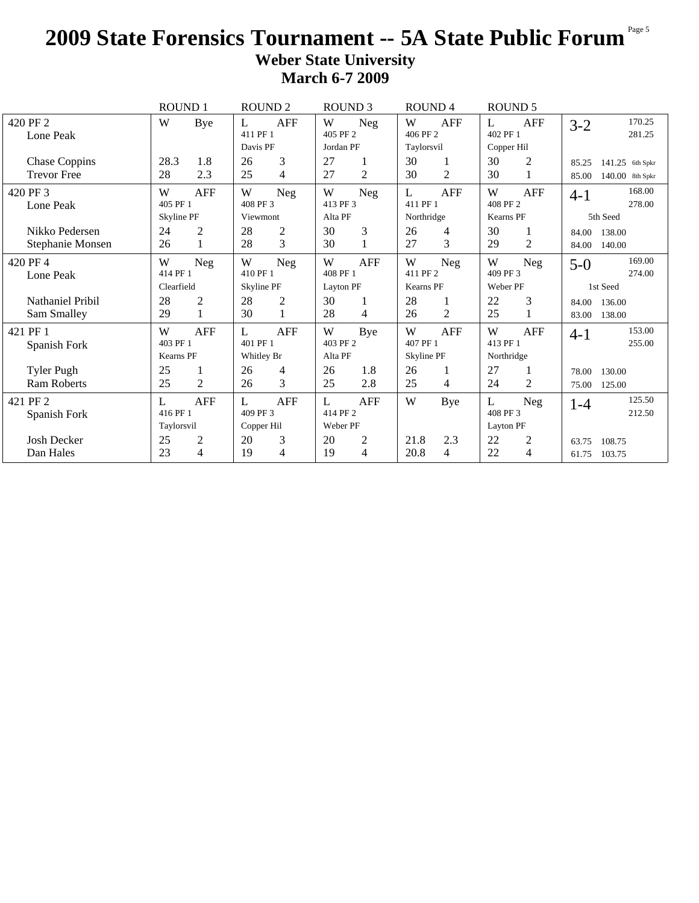## **2009 State Forensics Tournament -- 5A State Public Forum** Page 5 **Weber State University March 6-7 2009**

|                      | <b>ROUND 1</b>    |                | <b>ROUND 2</b> |                | <b>ROUND 3</b> |                | ROUND <sub>4</sub> |                |            | <b>ROUND 5</b> |         |                 |
|----------------------|-------------------|----------------|----------------|----------------|----------------|----------------|--------------------|----------------|------------|----------------|---------|-----------------|
| 420 PF 2             | W                 | Bye            | L              | <b>AFF</b>     | W              | <b>Neg</b>     | W                  | <b>AFF</b>     | L          | <b>AFF</b>     | $3-2$   | 170.25          |
| Lone Peak            |                   |                | 411 PF 1       |                | 405 PF 2       |                | 406 PF 2           |                | 402 PF 1   |                |         | 281.25          |
|                      |                   |                | Davis PF       |                | Jordan PF      |                | Taylorsvil         |                | Copper Hil |                |         |                 |
| <b>Chase Coppins</b> | 28.3              | 1.8            | 26             | 3              | 27             |                | 30                 | 1              | 30         | $\overline{c}$ | 85.25   | 141.25 6th Spkr |
| <b>Trevor Free</b>   | 28                | 2.3            | 25             | 4              | 27             | 2              | 30                 | $\overline{2}$ | 30         |                | 85.00   | 140.00 8th Spkr |
| 420 PF 3             | W                 | AFF            | W              | <b>Neg</b>     | W              | <b>Neg</b>     | L                  | AFF            | W          | AFF            | $4 - 1$ | 168.00          |
| Lone Peak            | 405 PF 1          |                | 408 PF 3       |                | 413 PF 3       |                | 411 PF 1           |                | 408 PF 2   |                |         | 278.00          |
|                      | <b>Skyline PF</b> |                | Viewmont       |                | Alta PF        |                | Northridge         |                | Kearns PF  |                |         | 5th Seed        |
| Nikko Pedersen       | 24                | $\overline{2}$ | 28             | $\overline{c}$ | 30             | 3              | 26                 | 4              | 30         | 1              | 84.00   | 138.00          |
| Stephanie Monsen     | 26                | $\mathbf{1}$   | 28             | 3              | 30             |                | 27                 | 3              | 29         | $\overline{2}$ | 84.00   | 140.00          |
| 420 PF 4             | W                 | <b>Neg</b>     | W              | <b>Neg</b>     | W              | <b>AFF</b>     | W                  | Neg            | W          | Neg            | $5-0$   | 169.00          |
| Lone Peak            | 414 PF 1          |                | 410 PF 1       |                | 408 PF 1       |                | 411 PF 2           |                | 409 PF 3   |                |         | 274.00          |
|                      | Clearfield        |                | Skyline PF     |                | Layton PF      |                | Kearns PF          |                | Weber PF   |                |         | 1st Seed        |
| Nathaniel Pribil     | 28                | $\overline{c}$ | 28             | 2              | 30             |                | 28                 |                | 22         | 3              | 84.00   | 136.00          |
| Sam Smalley          | 29                | $\mathbf{1}$   | 30             | 1              | 28             | $\overline{4}$ | 26                 | $\overline{2}$ | 25         | 1              | 83.00   | 138.00          |
| 421 PF 1             | W                 | <b>AFF</b>     | L              | <b>AFF</b>     | W              | Bye            | W                  | <b>AFF</b>     | W          | <b>AFF</b>     | $4 - 1$ | 153.00          |
| Spanish Fork         | 403 PF 1          |                | 401 PF 1       |                | 403 PF 2       |                | 407 PF 1           |                | 413 PF 1   |                |         | 255.00          |
|                      | Kearns PF         |                | Whitley Br     |                | Alta PF        |                | Skyline PF         |                | Northridge |                |         |                 |
| <b>Tyler Pugh</b>    | 25                | 1              | 26             | 4              | 26             | 1.8            | 26                 |                | 27         | 1              | 78.00   | 130.00          |
| <b>Ram Roberts</b>   | 25                | $\overline{2}$ | 26             | 3              | 25             | 2.8            | 25                 | 4              | 24         | $\overline{2}$ | 75.00   | 125.00          |
| 421 PF 2             | L                 | AFF            | L              | <b>AFF</b>     | L              | <b>AFF</b>     | W                  | Bye            | L          | <b>Neg</b>     | $1 - 4$ | 125.50          |
| Spanish Fork         | 416 PF 1          |                | 409 PF 3       |                | 414 PF 2       |                |                    |                | 408 PF 3   |                |         | 212.50          |
|                      | Taylorsvil        |                | Copper Hil     |                | Weber PF       |                |                    |                | Layton PF  |                |         |                 |
| <b>Josh Decker</b>   | 25                | $\overline{2}$ | 20             | 3              | 20             | $\overline{2}$ | 21.8               | 2.3            | 22         | $\overline{c}$ | 63.75   | 108.75          |
| Dan Hales            | 23                | $\overline{4}$ | 19             | 4              | 19             | 4              | 20.8               | 4              | 22         | 4              | 61.75   | 103.75          |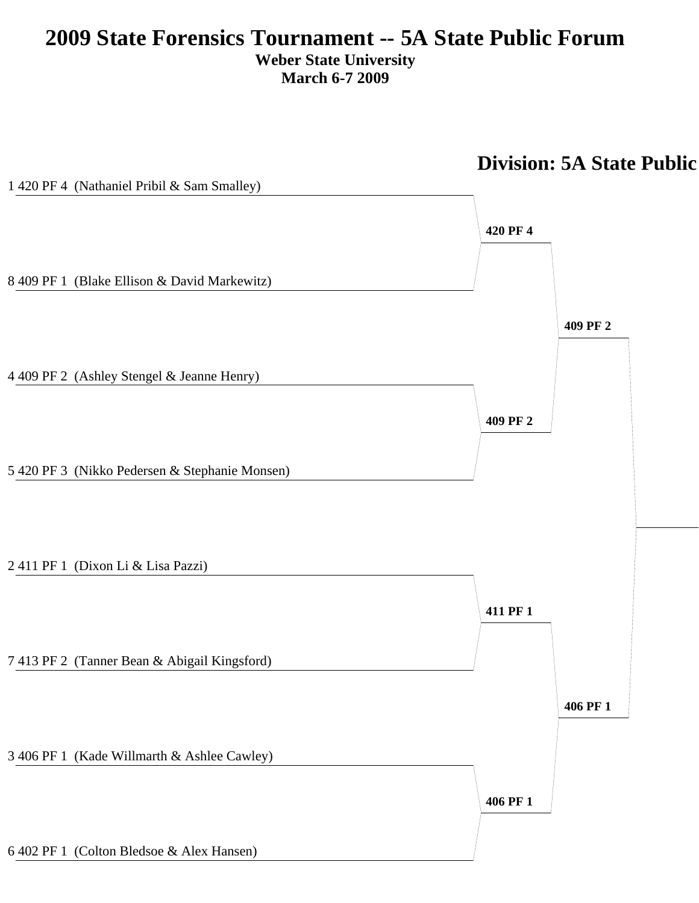## **2009 State Forensics Tournament -- 5A State Public Forum Weber State University March 6-7 2009**



# **Division: 5A State Public**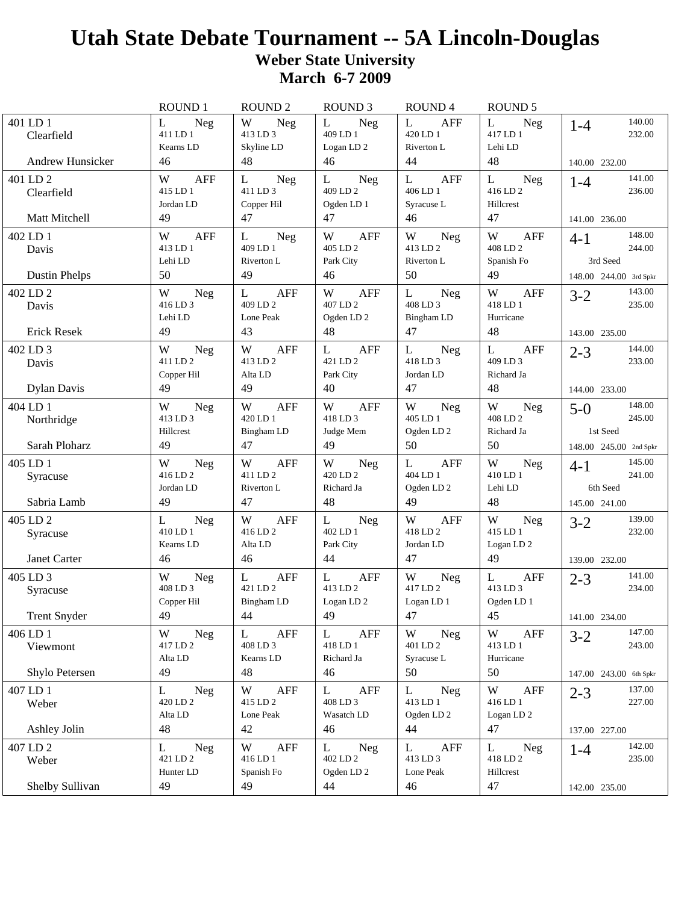|                                                   | ROUND 1                                          | <b>ROUND 2</b>                                            | ROUND <sub>3</sub>                                         | ROUND 4                                                          | <b>ROUND 5</b>                                          |                                                                   |
|---------------------------------------------------|--------------------------------------------------|-----------------------------------------------------------|------------------------------------------------------------|------------------------------------------------------------------|---------------------------------------------------------|-------------------------------------------------------------------|
| 401 LD 1<br>Clearfield<br><b>Andrew Hunsicker</b> | L<br><b>Neg</b><br>411 LD 1<br>Kearns LD<br>46   | W<br>Neg<br>413 LD 3<br>Skyline LD<br>48                  | L<br><b>Neg</b><br>409 LD 1<br>Logan LD <sub>2</sub><br>46 | $\mathbf{L}$<br><b>AFF</b><br>420 LD 1<br>Riverton L<br>44       | $\mathbf{L}$<br><b>Neg</b><br>417 LD 1<br>Lehi LD<br>48 | 140.00<br>$1 - 4$<br>232.00<br>140.00 232.00                      |
| 401 LD 2<br>Clearfield<br>Matt Mitchell           | W<br><b>AFF</b><br>415 LD 1<br>Jordan LD<br>49   | L<br><b>Neg</b><br>411 LD 3<br>Copper Hil<br>47           | L<br>Neg<br>409 LD 2<br>Ogden LD 1<br>47                   | L<br><b>AFF</b><br>406 LD 1<br>Syracuse L<br>46                  | L<br><b>Neg</b><br>416 LD 2<br>Hillcrest<br>47          | 141.00<br>$1 - 4$<br>236.00<br>141.00 236.00                      |
| 402 LD 1<br>Davis<br><b>Dustin Phelps</b>         | W<br><b>AFF</b><br>413 LD 1<br>Lehi LD<br>50     | L<br><b>Neg</b><br>409 LD 1<br>Riverton L<br>49           | W<br><b>AFF</b><br>405 LD 2<br>Park City<br>46             | W<br><b>Neg</b><br>413 LD 2<br>Riverton L<br>50                  | W<br><b>AFF</b><br>408 LD 2<br>Spanish Fo<br>49         | 148.00<br>$4 - 1$<br>244.00<br>3rd Seed<br>148.00 244.00 3rd Spkr |
| 402 LD 2<br>Davis<br><b>Erick Resek</b>           | W<br><b>Neg</b><br>416 LD 3<br>Lehi LD<br>49     | $\mathbf{L}$<br><b>AFF</b><br>409 LD 2<br>Lone Peak<br>43 | W<br><b>AFF</b><br>407 LD 2<br>Ogden LD <sub>2</sub><br>48 | L<br><b>Neg</b><br>408 LD 3<br>Bingham LD<br>47                  | W<br><b>AFF</b><br>418 LD 1<br>Hurricane<br>48          | 143.00<br>$3 - 2$<br>235.00<br>143.00 235.00                      |
| 402 LD 3<br>Davis<br><b>Dylan Davis</b>           | W<br><b>Neg</b><br>411 I.D 2<br>Copper Hil<br>49 | W<br>AFF<br>413 LD 2<br>Alta LD<br>49                     | L<br>AFF<br>421 LD 2<br>Park City<br>40                    | L<br>Neg<br>418 LD 3<br>Jordan LD<br>47                          | L<br>AFF<br>409 LD 3<br>Richard Ja<br>48                | 144.00<br>$2 - 3$<br>233.00<br>144.00 233.00                      |
| 404 LD 1<br>Northridge<br>Sarah Ploharz           | W<br><b>Neg</b><br>413 LD 3<br>Hillcrest<br>49   | W<br><b>AFF</b><br>420 LD 1<br>Bingham LD<br>47           | W<br><b>AFF</b><br>418 LD 3<br>Judge Mem<br>49             | W<br>Neg<br>405 LD 1<br>Ogden LD <sub>2</sub><br>50              | W<br>Neg<br>408 LD 2<br>Richard Ja<br>50                | 148.00<br>$5-0$<br>245.00<br>1st Seed<br>148.00 245.00 2nd Spkr   |
| 405 LD 1<br>Syracuse<br>Sabria Lamb               | W<br><b>Neg</b><br>416 LD 2<br>Jordan LD<br>49   | W<br><b>AFF</b><br>411 LD 2<br>Riverton L<br>47           | W<br>Neg<br>420 LD 2<br>Richard Ja<br>48                   | $\mathbf{L}$<br>AFF<br>404 LD 1<br>Ogden LD <sub>2</sub><br>49   | W<br>Neg<br>410 LD 1<br>Lehi LD<br>48                   | 145.00<br>$4 - 1$<br>241.00<br>6th Seed<br>145.00 241.00          |
| 405 LD 2<br>Syracuse<br>Janet Carter              | Neg<br>L<br>410 LD 1<br>Kearns LD<br>46          | W<br><b>AFF</b><br>416 LD 2<br>Alta LD<br>46              | <b>Neg</b><br>L<br>402 LD 1<br>Park City<br>44             | W<br><b>AFF</b><br>418 LD 2<br>Jordan LD<br>47                   | W<br><b>Neg</b><br>415 LD 1<br>$\rm Logan$ LD $2$<br>49 | 139.00<br>$3-2$<br>232.00<br>139.00 232.00                        |
| 405 LD 3<br>Syracuse<br><b>Trent Snyder</b>       | W<br><b>Neg</b><br>408 LD 3<br>Copper Hil<br>49  | L<br><b>AFF</b><br>421 LD 2<br>Bingham LD<br>44           | L<br>AFF<br>413 LD 2<br>Logan LD <sub>2</sub><br>49        | W<br>Neg<br>417 LD 2<br>Logan LD 1<br>47                         | L<br><b>AFF</b><br>413 LD 3<br>Ogden LD 1<br>45         | 141.00<br>$2 - 3$<br>234.00<br>141.00 234.00                      |
| 406 LD 1<br>Viewmont<br>Shylo Petersen            | W<br><b>Neg</b><br>417 LD 2<br>Alta LD<br>49     | $\mathbf{L}$<br>AFF<br>408 LD 3<br>Kearns LD<br>48        | L<br>AFF<br>418 LD 1<br>Richard Ja<br>46                   | W<br><b>Neg</b><br>401 LD 2<br>Syracuse L<br>50                  | W<br>AFF<br>413 LD 1<br>Hurricane<br>50                 | 147.00<br>$3-2$<br>243.00<br>147.00 243.00 6th Spkr               |
| 407 LD 1<br>Weber<br>Ashley Jolin                 | <b>Neg</b><br>L<br>420 LD 2<br>Alta LD<br>48     | <b>AFF</b><br>W<br>415 LD 2<br>Lone Peak<br>42            | AFF<br>L<br>408 LD 3<br>Wasatch LD<br>46                   | $\bf L$<br><b>Neg</b><br>413 LD 1<br>Ogden LD <sub>2</sub><br>44 | W<br>AFF<br>416 LD 1<br>Logan LD <sub>2</sub><br>47     | 137.00<br>$2 - 3$<br>227.00<br>137.00 227.00                      |
| 407 LD 2<br>Weber<br>Shelby Sullivan              | <b>Neg</b><br>L<br>421 LD 2<br>Hunter LD<br>49   | W<br><b>AFF</b><br>416 LD 1<br>Spanish Fo<br>49           | <b>Neg</b><br>L<br>402 LD 2<br>Ogden LD <sub>2</sub><br>44 | L<br>AFF<br>413 LD 3<br>Lone Peak<br>46                          | L<br>Neg<br>418 LD 2<br>Hillcrest<br>47                 | 142.00<br>$1 - 4$<br>235.00<br>142.00 235.00                      |
|                                                   |                                                  |                                                           |                                                            |                                                                  |                                                         |                                                                   |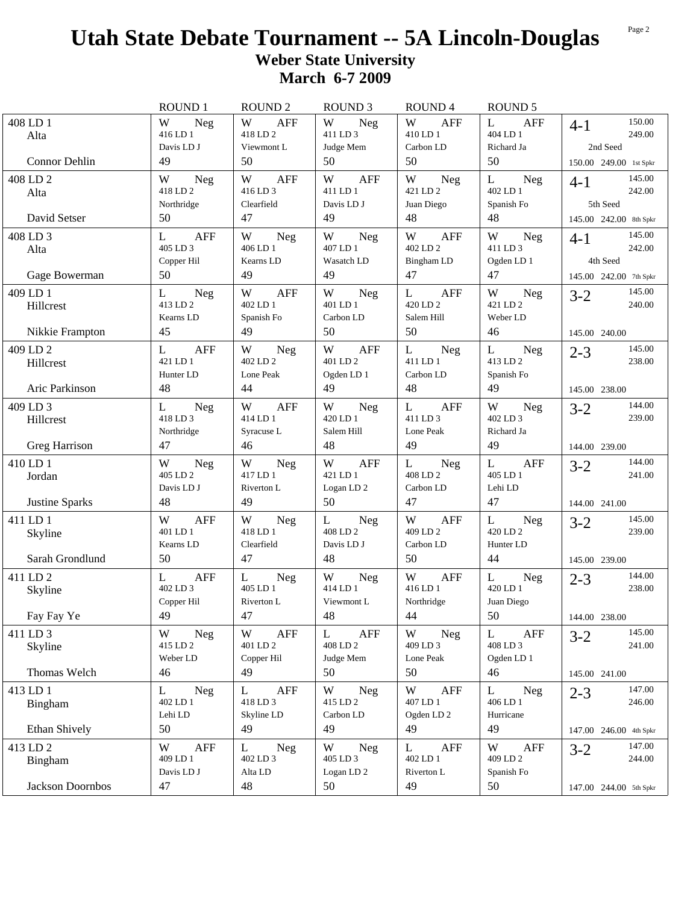|                       | <b>ROUND 1</b>                            | <b>ROUND 2</b>                            | <b>ROUND 3</b>                                       | ROUND <sub>4</sub>                                                         | <b>ROUND 5</b>                            |                                    |
|-----------------------|-------------------------------------------|-------------------------------------------|------------------------------------------------------|----------------------------------------------------------------------------|-------------------------------------------|------------------------------------|
| 408 LD 1<br>Alta      | W<br><b>Neg</b><br>416 LD 1               | W<br><b>AFF</b><br>418 LD 2               | W<br>Neg<br>411 LD 3                                 | W<br>AFF<br>410 LD 1                                                       | $\mathbf{L}$<br><b>AFF</b><br>404 LD 1    | 150.00<br>$4-1$<br>249.00          |
| Connor Dehlin         | Davis LD J<br>49                          | Viewmont L<br>50                          | Judge Mem<br>50                                      | Carbon LD<br>50                                                            | Richard Ja<br>50                          | 2nd Seed<br>150.00 249.00 1st Spkr |
| 408 LD 2<br>Alta      | W<br><b>Neg</b><br>418 LD 2               | W<br><b>AFF</b><br>416 LD 3               | <b>AFF</b><br>W<br>411 LD 1                          | W<br>Neg<br>421 LD 2                                                       | L<br><b>Neg</b><br>402 LD 1               | 145.00<br>4-1<br>242.00            |
| David Setser          | Northridge<br>50                          | Clearfield<br>47                          | Davis LD J<br>49                                     | Juan Diego<br>48                                                           | Spanish Fo<br>48                          | 5th Seed<br>145.00 242.00 8th Spkr |
| 408 LD 3<br>Alta      | <b>AFF</b><br>L<br>405 LD 3               | W<br>Neg<br>406 LD 1                      | W<br>Neg<br>407 LD 1                                 | W<br><b>AFF</b><br>402 LD 2                                                | W<br><b>Neg</b><br>411 LD 3               | 145.00<br>$4 - 1$<br>242.00        |
| Gage Bowerman         | Copper Hil<br>50                          | Kearns LD<br>49                           | Wasatch LD<br>49                                     | Bingham LD<br>47                                                           | Ogden LD 1<br>47                          | 4th Seed<br>145.00 242.00 7th Spkr |
| 409 LD 1<br>Hillcrest | L<br><b>Neg</b><br>413 LD 2<br>Kearns LD  | W<br>AFF<br>402 LD 1<br>Spanish Fo        | W<br>Neg<br>401 LD 1<br>Carbon LD                    | $\mathbf{L}$<br><b>AFF</b><br>420 LD 2<br>Salem Hill                       | W<br><b>Neg</b><br>421 LD 2<br>Weber LD   | 145.00<br>$3 - 2$<br>240.00        |
| Nikkie Frampton       | 45                                        | 49                                        | 50                                                   | 50                                                                         | 46                                        | 145.00 240.00                      |
| 409 LD 2<br>Hillcrest | AFF<br>L<br>421 LD 1<br>Hunter LD         | W<br><b>Neg</b><br>402 I.D 2<br>Lone Peak | W<br>AFF<br>401 LD 2<br>Ogden LD 1                   | L<br>Neg<br>411 LD 1<br>Carbon LD                                          | L<br>Neg<br>413 LD 2<br>Spanish Fo        | 145.00<br>$2 - 3$<br>238.00        |
| Aric Parkinson        | 48                                        | 44                                        | 49                                                   | 48                                                                         | 49                                        | 145.00 238.00                      |
| 409 LD 3<br>Hillcrest | L<br>Neg<br>418 LD 3<br>Northridge        | W<br>AFF<br>414 LD 1<br>Syracuse L        | W<br>Neg<br>420 LD 1<br>Salem Hill                   | L<br>AFF<br>411 LD 3<br>Lone Peak                                          | W<br>Neg<br>402 LD 3<br>Richard Ja        | 144.00<br>$3-2$<br>239.00          |
| Greg Harrison         | 47                                        | 46                                        | 48                                                   | 49                                                                         | 49                                        | 144.00 239.00                      |
| 410 LD 1<br>Jordan    | W<br><b>Neg</b><br>405 LD 2<br>Davis LD J | W<br><b>Neg</b><br>417 LD 1<br>Riverton L | W<br><b>AFF</b><br>421 LD 1<br>Logan LD <sub>2</sub> | L<br>Neg<br>408 LD 2<br>Carbon LD                                          | L<br><b>AFF</b><br>405 LD 1<br>Lehi LD    | 144.00<br>$3 - 2$<br>241.00        |
| Justine Sparks        | 48                                        | 49                                        | 50                                                   | 47                                                                         | 47                                        | 144.00 241.00                      |
| 411 LD 1<br>Skyline   | W<br><b>AFF</b><br>401 LD 1<br>Kearns LD  | W<br><b>Neg</b><br>418 LD 1<br>Clearfield | L<br><b>Neg</b><br>408 LD 2<br>Davis LD J            | W<br><b>AFF</b><br>409 LD 2<br>Carbon LD                                   | L<br><b>Neg</b><br>420 LD 2<br>Hunter LD  | 145.00<br>$3 - 2$<br>239.00        |
| Sarah Grondlund       | 50                                        | 47                                        | 48                                                   | 50                                                                         | 44                                        | 145.00 239.00                      |
| 411 LD 2<br>Skyline   | <b>AFF</b><br>L<br>402 LD 3<br>Copper Hil | Neg<br>L<br>405 LD 1<br>Riverton L        | W<br><b>Neg</b><br>414 LD 1<br>Viewmont L            | W<br><b>AFF</b><br>416 LD 1<br>Northridge                                  | L<br><b>Neg</b><br>420 LD 1<br>Juan Diego | 144.00<br>$2 - 3$<br>238.00        |
| Fay Fay Ye            | 49                                        | 47                                        | 48                                                   | 44                                                                         | 50                                        | 144.00 238.00                      |
| 411 LD 3<br>Skyline   | W<br><b>Neg</b><br>415 LD 2<br>Weber LD   | W<br><b>AFF</b><br>401 LD 2<br>Copper Hil | <b>AFF</b><br>L<br>408 LD 2<br>Judge Mem             | W<br>Neg<br>409 LD 3<br>Lone Peak                                          | L<br>AFF<br>408 LD 3<br>Ogden LD 1        | 145.00<br>$3-2$<br>241.00          |
| Thomas Welch          | 46                                        | 49                                        | 50                                                   | 50                                                                         | 46                                        | 145.00 241.00                      |
| 413 LD 1<br>Bingham   | L<br>Neg<br>402 LD 1<br>Lehi LD           | AFF<br>L<br>418 LD 3<br>Skyline LD        | W<br>Neg<br>415 LD 2<br>Carbon LD                    | $\ensuremath{\text{W}}$<br><b>AFF</b><br>407 LD 1<br>Ogden LD <sub>2</sub> | L<br><b>Neg</b><br>406 LD 1<br>Hurricane  | 147.00<br>$2 - 3$<br>246.00        |
| <b>Ethan Shively</b>  | 50                                        | 49                                        | 49                                                   | 49                                                                         | 49                                        | 147.00 246.00 4th Spkr             |
| 413 LD 2<br>Bingham   | W<br><b>AFF</b><br>409 LD 1<br>Davis LD J | <b>Neg</b><br>L<br>402 LD 3<br>Alta LD    | W<br><b>Neg</b><br>405 LD 3<br>$\rm Logan$ LD $2$    | L<br><b>AFF</b><br>402 LD 1<br>Riverton L                                  | W<br><b>AFF</b><br>409 LD 2<br>Spanish Fo | 147.00<br>$3 - 2$<br>244.00        |
| Jackson Doornbos      | 47                                        | 48                                        | 50                                                   | 49                                                                         | 50                                        | 147.00 244.00 5th Spkr             |

Page 2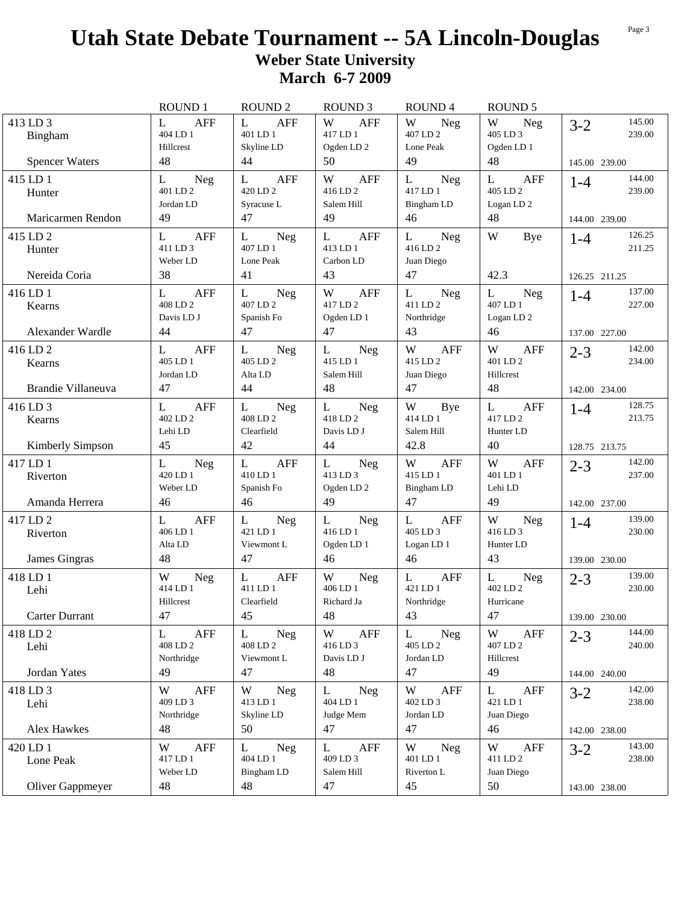|                                         | <b>ROUND 1</b>                                      | <b>ROUND 2</b>                                       | <b>ROUND 3</b>                                       | ROUND <sub>4</sub>                                         | <b>ROUND 5</b>                                                  |                                              |
|-----------------------------------------|-----------------------------------------------------|------------------------------------------------------|------------------------------------------------------|------------------------------------------------------------|-----------------------------------------------------------------|----------------------------------------------|
| 413 LD 3<br>Bingham                     | $\mathbf{L}$<br><b>AFF</b><br>404 LD 1<br>Hillcrest | $\mathbf{L}$<br>AFF<br>401 LD 1<br>Skyline LD        | W<br><b>AFF</b><br>417 LD 1<br>Ogden LD <sub>2</sub> | W<br>Neg<br>407 LD 2<br>Lone Peak                          | W<br>Neg<br>405 LD 3<br>Ogden LD 1                              | 145.00<br>$3 - 2$<br>239.00                  |
| <b>Spencer Waters</b>                   | 48                                                  | 44                                                   | 50                                                   | 49                                                         | 48                                                              | 145.00 239.00                                |
| 415 LD 1<br>Hunter<br>Maricarmen Rendon | L<br>Neg<br>401 LD 2<br>Jordan LD<br>49             | L<br>AFF<br>420 LD 2<br>Syracuse L<br>47             | W<br>AFF<br>416 LD 2<br>Salem Hill<br>49             | L<br>Neg<br>417 LD 1<br>Bingham LD<br>46                   | L<br>AFF<br>405 LD 2<br>Logan LD <sub>2</sub><br>48             | 144.00<br>$1 - 4$<br>239.00<br>144.00 239.00 |
|                                         |                                                     |                                                      |                                                      |                                                            |                                                                 | 126.25                                       |
| 415 LD 2<br>Hunter<br>Nereida Coria     | <b>AFF</b><br>L<br>411 LD 3<br>Weber LD<br>38       | L<br><b>Neg</b><br>407 LD 1<br>Lone Peak<br>41       | L<br><b>AFF</b><br>413 LD 1<br>Carbon LD<br>43       | Neg<br>L<br>416 LD 2<br>Juan Diego<br>47                   | W<br>Bye<br>42.3                                                | $1 - 4$<br>211.25                            |
|                                         |                                                     |                                                      |                                                      |                                                            |                                                                 | 126.25 211.25                                |
| 416 LD 1<br>Kearns                      | L<br><b>AFF</b><br>408 LD 2<br>Davis LD J           | $\mathbf{L}$<br>Neg<br>407 LD 2<br>Spanish Fo        | W<br>AFF<br>417 LD 2<br>Ogden LD 1                   | L<br>Neg<br>411 LD 2<br>Northridge                         | $\mathbf{L}$<br><b>Neg</b><br>407 LD 1<br>Logan LD <sub>2</sub> | 137.00<br>$1-4$<br>227.00                    |
| Alexander Wardle                        | 44                                                  | 47                                                   | 47                                                   | 43                                                         | 46                                                              | 137.00 227.00                                |
| 416 LD 2<br>Kearns                      | AFF<br>L<br>405 LD 1<br>Jordan LD                   | L<br><b>Neg</b><br>405 LD 2<br>Alta LD               | L<br>Neg<br>415 LD 1<br>Salem Hill                   | W<br>AFF<br>415 LD 2<br>Juan Diego                         | W<br>AFF<br>401 LD 2<br>Hillcrest                               | 142.00<br>$2 - 3$<br>234.00                  |
| Brandie Villaneuva                      | 47                                                  | 44                                                   | 48                                                   | 47                                                         | 48                                                              | 142.00 234.00                                |
| 416 LD 3<br>Kearns                      | L<br>AFF<br>402 LD 2<br>Lehi LD                     | L<br>Neg<br>408 LD 2<br>Clearfield                   | L<br>Neg<br>418 LD 2<br>Davis LD J                   | W<br>Bye<br>414 LD 1<br>Salem Hill                         | $\mathbf{L}$<br>AFF<br>417 LD 2<br>Hunter LD                    | 128.75<br>$1 - 4$<br>213.75                  |
| <b>Kimberly Simpson</b>                 | 45                                                  | 42                                                   | 44                                                   | 42.8                                                       | 40                                                              | 128.75 213.75                                |
| 417 LD 1<br>Riverton                    | L<br>Neg<br>420 LD 1<br>Weber LD                    | $\mathbf{L}$<br><b>AFF</b><br>410 LD 1<br>Spanish Fo | L<br>Neg<br>413 LD 3<br>Ogden LD <sub>2</sub>        | W<br>AFF<br>415 LD 1<br>Bingham LD                         | W<br>AFF<br>401 LD 1<br>Lehi LD                                 | 142.00<br>$2 - 3$<br>237.00                  |
| Amanda Herrera                          | 46                                                  | 46                                                   | 49                                                   | 47                                                         | 49                                                              | 142.00 237.00                                |
| 417 LD 2<br>Riverton<br>James Gingras   | <b>AFF</b><br>L<br>406 LD 1<br>Alta LD<br>48        | L<br>Neg<br>421 LD 1<br>Viewmont L<br>47             | L<br>Neg<br>416 LD 1<br>Ogden LD 1<br>46             | $\mathbf{L}$<br><b>AFF</b><br>405 LD 3<br>Logan LD 1<br>46 | W<br><b>Neg</b><br>416 LD 3<br>Hunter LD<br>43                  | 139.00<br>$1 - 4$<br>230.00                  |
|                                         |                                                     |                                                      |                                                      |                                                            |                                                                 | 139.00 230.00                                |
| 418 LD 1<br>Lehi                        | W<br><b>Neg</b><br>414 LD 1<br>Hillcrest            | L<br><b>AFF</b><br>411 LD 1<br>Clearfield            | W<br>Neg<br>406 LD 1<br>Richard Ja                   | $\mathbf{L}$<br><b>AFF</b><br>421 LD 1<br>Northridge       | L<br>Neg<br>402 LD 2<br>Hurricane                               | 139.00<br>$2 - 3$<br>230.00                  |
| Carter Durrant                          | 47                                                  | 45                                                   | 48                                                   | 43                                                         | 47                                                              | 139.00 230.00                                |
| 418 LD 2<br>Lehi                        | AFF<br>L<br>408 LD 2<br>Northridge                  | L<br><b>Neg</b><br>408 LD 2<br>Viewmont L            | W<br>AFF<br>416 LD 3<br>Davis LD J                   | L<br><b>Neg</b><br>405 LD 2<br>Jordan LD                   | W<br>AFF<br>407 LD 2<br>Hillcrest                               | 144.00<br>$2 - 3$<br>240.00                  |
| Jordan Yates                            | 49                                                  | 47                                                   | 48                                                   | 47                                                         | 49                                                              | 144.00 240.00                                |
| 418 LD 3<br>Lehi                        | AFF<br>W<br>409 LD 3<br>Northridge                  | W<br><b>Neg</b><br>413 LD 1<br>Skyline LD            | L<br><b>Neg</b><br>404 LD 1<br>Judge Mem             | W<br>AFF<br>402 LD 3<br>Jordan LD                          | $\mathbf{L}$<br>AFF<br>421 LD 1<br>Juan Diego                   | 142.00<br>$3-2$<br>238.00                    |
| Alex Hawkes                             | 48                                                  | 50                                                   | 47                                                   | 47                                                         | 46                                                              | 142.00 238.00                                |
| 420 LD 1<br>Lone Peak                   | AFF<br>W<br>417 LD 1<br>Weber LD                    | L<br><b>Neg</b><br>404 LD 1<br>Bingham LD            | L<br>AFF<br>409 LD 3<br>Salem Hill                   | W<br><b>Neg</b><br>401 LD 1<br>Riverton L                  | W<br>AFF<br>411 LD 2<br>Juan Diego                              | 143.00<br>$3-2$<br>238.00                    |
| Oliver Gappmeyer                        | 48                                                  | 48                                                   | 47                                                   | 45                                                         | 50                                                              | 143.00 238.00                                |

Page 3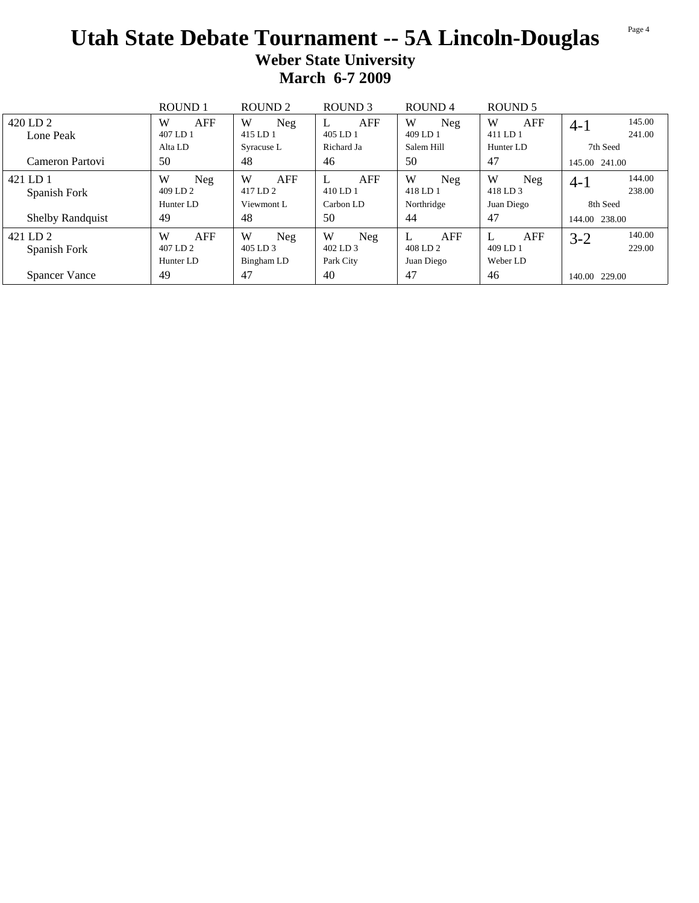|                          | <b>ROUND1</b>                            | ROUND <sub>2</sub>                        | ROUND <sub>3</sub>                | ROUND <sub>4</sub>            | ROUND <sub>5</sub>          |                             |
|--------------------------|------------------------------------------|-------------------------------------------|-----------------------------------|-------------------------------|-----------------------------|-----------------------------|
| 420 LD 2                 | W<br><b>AFF</b>                          | W<br>Neg                                  | AFF<br>L                          | W<br>Neg                      | W<br>AFF                    | 145.00<br>$4-1$             |
| Lone Peak                | 407 LD 1                                 | 415 LD 1                                  | 405 LD 1                          | 409 LD 1                      | 411 LD 1                    | 241.00                      |
|                          | Alta LD                                  | Syracuse L                                | Richard Ja                        | Salem Hill                    | Hunter LD                   | 7th Seed                    |
| Cameron Partovi          | 50                                       | 48                                        | 46                                | 50                            | 47                          | 145.00 241.00               |
| 421 LD 1<br>Spanish Fork | W<br>Neg<br>409 LD 2                     | W<br>AFF<br>417 LD 2                      | <b>AFF</b><br>L<br>410 LD 1       | W<br>Neg<br>418 LD 1          | W<br><b>Neg</b><br>418 LD 3 | 144.00<br>$4 - 1$<br>238.00 |
|                          | Hunter LD                                | Viewmont L                                | Carbon LD                         | Northridge                    | Juan Diego                  | 8th Seed                    |
| <b>Shelby Randquist</b>  | 49                                       | 48                                        | 50                                | 44                            | 47                          | 144.00 238.00               |
| 421 LD 2<br>Spanish Fork | W<br><b>AFF</b><br>407 LD 2<br>Hunter LD | W<br><b>Neg</b><br>405 LD 3<br>Bingham LD | W<br>Neg<br>402 LD 3<br>Park City | AFF<br>408 LD 2<br>Juan Diego | AFF<br>409 LD 1<br>Weber LD | 140.00<br>$3 - 2$<br>229.00 |
| Spancer Vance            | 49                                       | 47                                        | 40                                | 47                            | 46                          | 140.00 229.00               |